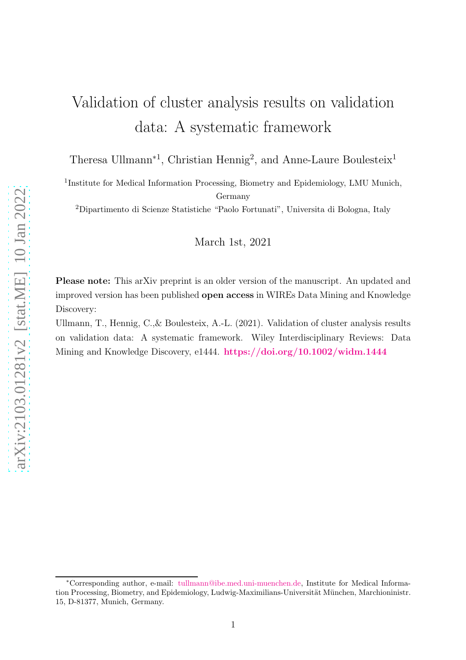# Validation of cluster analysis results on validation data: A systematic framework

Theresa Ullmann<sup>\*1</sup>, Christian Hennig<sup>2</sup>, and Anne-Laure Boulesteix<sup>1</sup>

<sup>1</sup>Institute for Medical Information Processing, Biometry and Epidemiology, LMU Munich, Germany

<sup>2</sup>Dipartimento di Scienze Statistiche "Paolo Fortunati", Universita di Bologna, Italy

March 1st, 2021

Please note: This arXiv preprint is an older version of the manuscript. An updated and improved version has been published open access in WIREs Data Mining and Knowledge Discovery:

Ullmann, T., Hennig, C.,& Boulesteix, A.-L. (2021). Validation of cluster analysis results on validation data: A systematic framework. Wiley Interdisciplinary Reviews: Data Mining and Knowledge Discovery, e1444. <https://doi.org/10.1002/widm.1444>

<sup>∗</sup>Corresponding author, e-mail: [tullmann@ibe.med.uni-muenchen.de,](mailto:tullmann@ibe.med.uni-muenchen.de) Institute for Medical Information Processing, Biometry, and Epidemiology, Ludwig-Maximilians-Universität München, Marchioninistr. 15, D-81377, Munich, Germany.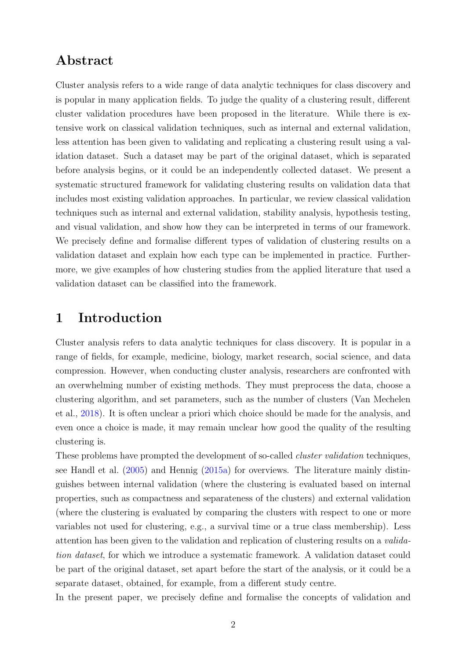## Abstract

Cluster analysis refers to a wide range of data analytic techniques for class discovery and is popular in many application fields. To judge the quality of a clustering result, different cluster validation procedures have been proposed in the literature. While there is extensive work on classical validation techniques, such as internal and external validation, less attention has been given to validating and replicating a clustering result using a validation dataset. Such a dataset may be part of the original dataset, which is separated before analysis begins, or it could be an independently collected dataset. We present a systematic structured framework for validating clustering results on validation data that includes most existing validation approaches. In particular, we review classical validation techniques such as internal and external validation, stability analysis, hypothesis testing, and visual validation, and show how they can be interpreted in terms of our framework. We precisely define and formalise different types of validation of clustering results on a validation dataset and explain how each type can be implemented in practice. Furthermore, we give examples of how clustering studies from the applied literature that used a validation dataset can be classified into the framework.

### <span id="page-1-0"></span>1 Introduction

Cluster analysis refers to data analytic techniques for class discovery. It is popular in a range of fields, for example, medicine, biology, market research, social science, and data compression. However, when conducting cluster analysis, researchers are confronted with an overwhelming number of existing methods. They must preprocess the data, choose a clustering algorithm, and set parameters, such as the number of clusters (Van Mechelen et al., [2018](#page-31-0)). It is often unclear a priori which choice should be made for the analysis, and even once a choice is made, it may remain unclear how good the quality of the resulting clustering is.

These problems have prompted the development of so-called *cluster validation* techniques, see Handl et al. [\(2005](#page-28-0)) and Hennig [\(2015a\)](#page-28-1) for overviews. The literature mainly distinguishes between internal validation (where the clustering is evaluated based on internal properties, such as compactness and separateness of the clusters) and external validation (where the clustering is evaluated by comparing the clusters with respect to one or more variables not used for clustering, e.g., a survival time or a true class membership). Less attention has been given to the validation and replication of clustering results on a *validation dataset*, for which we introduce a systematic framework. A validation dataset could be part of the original dataset, set apart before the start of the analysis, or it could be a separate dataset, obtained, for example, from a different study centre.

In the present paper, we precisely define and formalise the concepts of validation and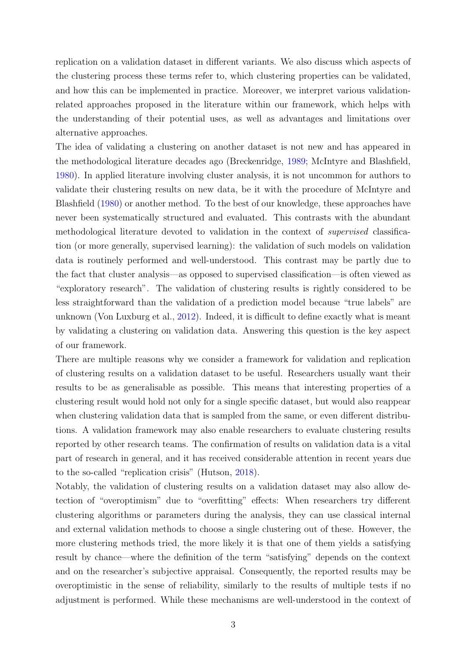replication on a validation dataset in different variants. We also discuss which aspects of the clustering process these terms refer to, which clustering properties can be validated, and how this can be implemented in practice. Moreover, we interpret various validationrelated approaches proposed in the literature within our framework, which helps with the understanding of their potential uses, as well as advantages and limitations over alternative approaches.

The idea of validating a clustering on another dataset is not new and has appeared in the methodological literature decades ago (Breckenridge, [1989](#page-26-0); McIntyre and Blashfield, [1980](#page-29-0)). In applied literature involving cluster analysis, it is not uncommon for authors to validate their clustering results on new data, be it with the procedure of McIntyre and Blashfield [\(1980\)](#page-29-0) or another method. To the best of our knowledge, these approaches have never been systematically structured and evaluated. This contrasts with the abundant methodological literature devoted to validation in the context of *supervised* classification (or more generally, supervised learning): the validation of such models on validation data is routinely performed and well-understood. This contrast may be partly due to the fact that cluster analysis—as opposed to supervised classification—is often viewed as "exploratory research". The validation of clustering results is rightly considered to be less straightforward than the validation of a prediction model because "true labels" are unknown (Von Luxburg et al., [2012\)](#page-31-1). Indeed, it is difficult to define exactly what is meant by validating a clustering on validation data. Answering this question is the key aspect of our framework.

There are multiple reasons why we consider a framework for validation and replication of clustering results on a validation dataset to be useful. Researchers usually want their results to be as generalisable as possible. This means that interesting properties of a clustering result would hold not only for a single specific dataset, but would also reappear when clustering validation data that is sampled from the same, or even different distributions. A validation framework may also enable researchers to evaluate clustering results reported by other research teams. The confirmation of results on validation data is a vital part of research in general, and it has received considerable attention in recent years due to the so-called "replication crisis" (Hutson, [2018\)](#page-29-1).

Notably, the validation of clustering results on a validation dataset may also allow detection of "overoptimism" due to "overfitting" effects: When researchers try different clustering algorithms or parameters during the analysis, they can use classical internal and external validation methods to choose a single clustering out of these. However, the more clustering methods tried, the more likely it is that one of them yields a satisfying result by chance—where the definition of the term "satisfying" depends on the context and on the researcher's subjective appraisal. Consequently, the reported results may be overoptimistic in the sense of reliability, similarly to the results of multiple tests if no adjustment is performed. While these mechanisms are well-understood in the context of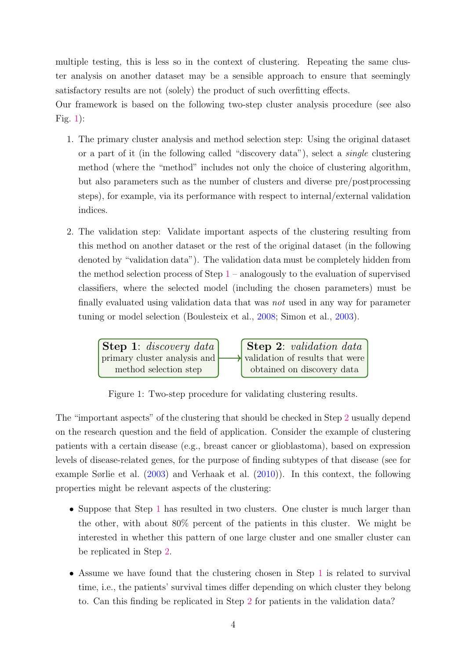multiple testing, this is less so in the context of clustering. Repeating the same cluster analysis on another dataset may be a sensible approach to ensure that seemingly satisfactory results are not (solely) the product of such overfitting effects.

<span id="page-3-1"></span>Our framework is based on the following two-step cluster analysis procedure (see also Fig. [1\)](#page-3-0):

- 1. The primary cluster analysis and method selection step: Using the original dataset or a part of it (in the following called "discovery data"), select a *single* clustering method (where the "method" includes not only the choice of clustering algorithm, but also parameters such as the number of clusters and diverse pre/postprocessing steps), for example, via its performance with respect to internal/external validation indices.
- <span id="page-3-0"></span>2. The validation step: Validate important aspects of the clustering resulting from this method on another dataset or the rest of the original dataset (in the following denoted by "validation data"). The validation data must be completely hidden from the method selection process of Step [1](#page-3-1) – analogously to the evaluation of supervised classifiers, where the selected model (including the chosen parameters) must be finally evaluated using validation data that was *not* used in any way for parameter tuning or model selection (Boulesteix et al., [2008;](#page-26-1) Simon et al., [2003](#page-30-0)).



Figure 1: Two-step procedure for validating clustering results.

The "important aspects" of the clustering that should be checked in Step [2](#page-3-0) usually depend on the research question and the field of application. Consider the example of clustering patients with a certain disease (e.g., breast cancer or glioblastoma), based on expression levels of disease-related genes, for the purpose of finding subtypes of that disease (see for example Sørlie et al. [\(2003](#page-30-1)) and Verhaak et al. [\(2010](#page-31-2))). In this context, the following properties might be relevant aspects of the clustering:

- Suppose that Step [1](#page-3-1) has resulted in two clusters. One cluster is much larger than the other, with about 80% percent of the patients in this cluster. We might be interested in whether this pattern of one large cluster and one smaller cluster can be replicated in Step [2.](#page-3-0)
- Assume we have found that the clustering chosen in Step [1](#page-3-1) is related to survival time, i.e., the patients' survival times differ depending on which cluster they belong to. Can this finding be replicated in Step [2](#page-3-0) for patients in the validation data?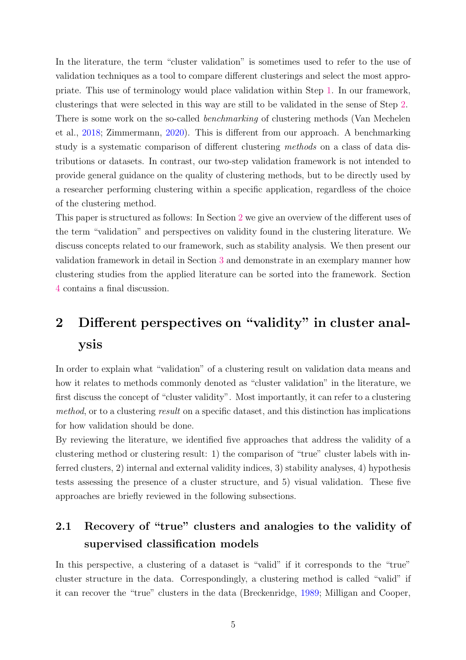In the literature, the term "cluster validation" is sometimes used to refer to the use of validation techniques as a tool to compare different clusterings and select the most appropriate. This use of terminology would place validation within Step [1.](#page-3-1) In our framework, clusterings that were selected in this way are still to be validated in the sense of Step [2.](#page-3-0) There is some work on the so-called *benchmarking* of clustering methods (Van Mechelen et al., [2018](#page-31-0); Zimmermann, [2020\)](#page-31-3). This is different from our approach. A benchmarking study is a systematic comparison of different clustering *methods* on a class of data distributions or datasets. In contrast, our two-step validation framework is not intended to provide general guidance on the quality of clustering methods, but to be directly used by a researcher performing clustering within a specific application, regardless of the choice of the clustering method.

This paper is structured as follows: In Section [2](#page-4-0) we give an overview of the different uses of the term "validation" and perspectives on validity found in the clustering literature. We discuss concepts related to our framework, such as stability analysis. We then present our validation framework in detail in Section [3](#page-13-0) and demonstrate in an exemplary manner how clustering studies from the applied literature can be sorted into the framework. Section [4](#page-23-0) contains a final discussion.

# <span id="page-4-0"></span>2 Different perspectives on "validity" in cluster analysis

In order to explain what "validation" of a clustering result on validation data means and how it relates to methods commonly denoted as "cluster validation" in the literature, we first discuss the concept of "cluster validity". Most importantly, it can refer to a clustering *method*, or to a clustering *result* on a specific dataset, and this distinction has implications for how validation should be done.

By reviewing the literature, we identified five approaches that address the validity of a clustering method or clustering result: 1) the comparison of "true" cluster labels with inferred clusters, 2) internal and external validity indices, 3) stability analyses, 4) hypothesis tests assessing the presence of a cluster structure, and 5) visual validation. These five approaches are briefly reviewed in the following subsections.

## <span id="page-4-1"></span>2.1 Recovery of "true" clusters and analogies to the validity of supervised classification models

In this perspective, a clustering of a dataset is "valid" if it corresponds to the "true" cluster structure in the data. Correspondingly, a clustering method is called "valid" if it can recover the "true" clusters in the data (Breckenridge, [1989](#page-26-0); Milligan and Cooper,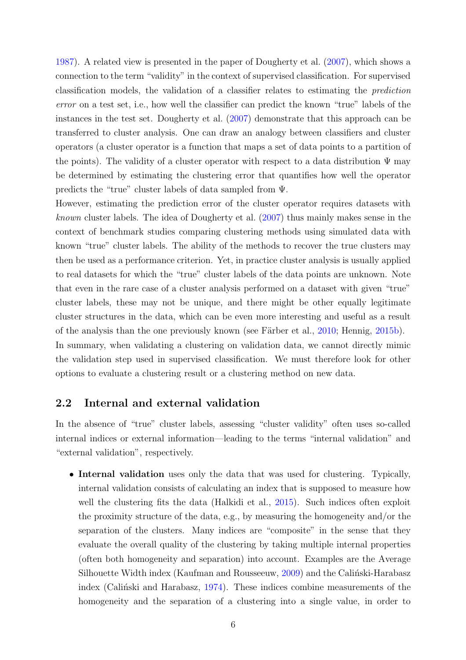[1987](#page-29-2)). A related view is presented in the paper of Dougherty et al. [\(2007\)](#page-27-0), which shows a connection to the term "validity" in the context of supervised classification. For supervised classification models, the validation of a classifier relates to estimating the *prediction error* on a test set, i.e., how well the classifier can predict the known "true" labels of the instances in the test set. Dougherty et al. [\(2007\)](#page-27-0) demonstrate that this approach can be transferred to cluster analysis. One can draw an analogy between classifiers and cluster operators (a cluster operator is a function that maps a set of data points to a partition of the points). The validity of a cluster operator with respect to a data distribution  $\Psi$  may be determined by estimating the clustering error that quantifies how well the operator predicts the "true" cluster labels of data sampled from Ψ.

However, estimating the prediction error of the cluster operator requires datasets with *known* cluster labels. The idea of Dougherty et al. [\(2007](#page-27-0)) thus mainly makes sense in the context of benchmark studies comparing clustering methods using simulated data with known "true" cluster labels. The ability of the methods to recover the true clusters may then be used as a performance criterion. Yet, in practice cluster analysis is usually applied to real datasets for which the "true" cluster labels of the data points are unknown. Note that even in the rare case of a cluster analysis performed on a dataset with given "true" cluster labels, these may not be unique, and there might be other equally legitimate cluster structures in the data, which can be even more interesting and useful as a result of the analysis than the one previously known (see Färber et al., [2010](#page-27-1); Hennig, [2015b](#page-28-2)). In summary, when validating a clustering on validation data, we cannot directly mimic the validation step used in supervised classification. We must therefore look for other options to evaluate a clustering result or a clustering method on new data.

#### <span id="page-5-0"></span>2.2 Internal and external validation

In the absence of "true" cluster labels, assessing "cluster validity" often uses so-called internal indices or external information—leading to the terms "internal validation" and "external validation", respectively.

• Internal validation uses only the data that was used for clustering. Typically, internal validation consists of calculating an index that is supposed to measure how well the clustering fits the data (Halkidi et al., [2015\)](#page-28-3). Such indices often exploit the proximity structure of the data, e.g., by measuring the homogeneity and/or the separation of the clusters. Many indices are "composite" in the sense that they evaluate the overall quality of the clustering by taking multiple internal properties (often both homogeneity and separation) into account. Examples are the Average Silhouette Width index (Kaufman and Rousseeuw, [2009](#page-29-3)) and the Calintski-Harabasz index (Calinski and Harabasz,  $1974$ ). These indices combine measurements of the homogeneity and the separation of a clustering into a single value, in order to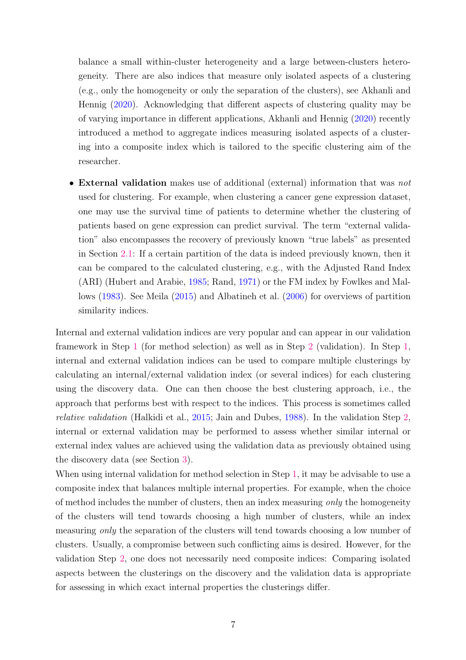balance a small within-cluster heterogeneity and a large between-clusters heterogeneity. There are also indices that measure only isolated aspects of a clustering (e.g., only the homogeneity or only the separation of the clusters), see Akhanli and Hennig [\(2020\)](#page-26-2). Acknowledging that different aspects of clustering quality may be of varying importance in different applications, Akhanli and Hennig [\(2020](#page-26-2)) recently introduced a method to aggregate indices measuring isolated aspects of a clustering into a composite index which is tailored to the specific clustering aim of the researcher.

• External validation makes use of additional (external) information that was *not* used for clustering. For example, when clustering a cancer gene expression dataset, one may use the survival time of patients to determine whether the clustering of patients based on gene expression can predict survival. The term "external validation" also encompasses the recovery of previously known "true labels" as presented in Section [2.1:](#page-4-1) If a certain partition of the data is indeed previously known, then it can be compared to the calculated clustering, e.g., with the Adjusted Rand Index (ARI) (Hubert and Arabie, [1985](#page-28-4); Rand, [1971\)](#page-30-2) or the FM index by Fowlkes and Mallows [\(1983\)](#page-27-3). See Meila [\(2015\)](#page-29-4) and Albatineh et al. [\(2006\)](#page-26-3) for overviews of partition similarity indices.

Internal and external validation indices are very popular and can appear in our validation framework in Step [1](#page-3-1) (for method selection) as well as in Step [2](#page-3-0) (validation). In Step [1,](#page-3-1) internal and external validation indices can be used to compare multiple clusterings by calculating an internal/external validation index (or several indices) for each clustering using the discovery data. One can then choose the best clustering approach, i.e., the approach that performs best with respect to the indices. This process is sometimes called *relative validation* (Halkidi et al., [2015;](#page-28-3) Jain and Dubes, [1988\)](#page-29-5). In the validation Step [2,](#page-3-0) internal or external validation may be performed to assess whether similar internal or external index values are achieved using the validation data as previously obtained using the discovery data (see Section [3\)](#page-13-0).

When using internal validation for method selection in Step [1,](#page-3-1) it may be advisable to use a composite index that balances multiple internal properties. For example, when the choice of method includes the number of clusters, then an index measuring *only* the homogeneity of the clusters will tend towards choosing a high number of clusters, while an index measuring *only* the separation of the clusters will tend towards choosing a low number of clusters. Usually, a compromise between such conflicting aims is desired. However, for the validation Step [2,](#page-3-0) one does not necessarily need composite indices: Comparing isolated aspects between the clusterings on the discovery and the validation data is appropriate for assessing in which exact internal properties the clusterings differ.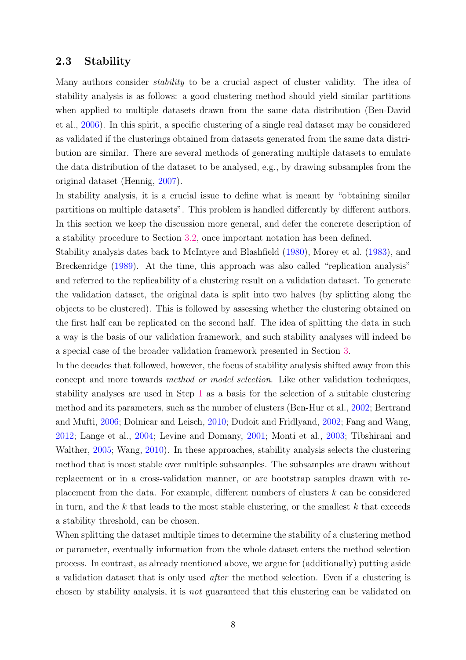#### <span id="page-7-0"></span>2.3 Stability

Many authors consider *stability* to be a crucial aspect of cluster validity. The idea of stability analysis is as follows: a good clustering method should yield similar partitions when applied to multiple datasets drawn from the same data distribution (Ben-David et al., [2006\)](#page-26-4). In this spirit, a specific clustering of a single real dataset may be considered as validated if the clusterings obtained from datasets generated from the same data distribution are similar. There are several methods of generating multiple datasets to emulate the data distribution of the dataset to be analysed, e.g., by drawing subsamples from the original dataset (Hennig, [2007](#page-28-5)).

In stability analysis, it is a crucial issue to define what is meant by "obtaining similar partitions on multiple datasets". This problem is handled differently by different authors. In this section we keep the discussion more general, and defer the concrete description of a stability procedure to Section [3.2,](#page-15-0) once important notation has been defined.

Stability analysis dates back to McIntyre and Blashfield [\(1980\)](#page-29-0), Morey et al. [\(1983\)](#page-30-3), and Breckenridge [\(1989\)](#page-26-0). At the time, this approach was also called "replication analysis" and referred to the replicability of a clustering result on a validation dataset. To generate the validation dataset, the original data is split into two halves (by splitting along the objects to be clustered). This is followed by assessing whether the clustering obtained on the first half can be replicated on the second half. The idea of splitting the data in such a way is the basis of our validation framework, and such stability analyses will indeed be a special case of the broader validation framework presented in Section [3.](#page-13-0)

In the decades that followed, however, the focus of stability analysis shifted away from this concept and more towards *method or model selection*. Like other validation techniques, stability analyses are used in Step [1](#page-3-1) as a basis for the selection of a suitable clustering method and its parameters, such as the number of clusters (Ben-Hur et al., [2002;](#page-26-5) Bertrand and Mufti, [2006;](#page-26-6) Dolnicar and Leisch, [2010;](#page-27-4) Dudoit and Fridlyand, [2002](#page-27-5); Fang and Wang, [2012](#page-27-6); Lange et al., [2004;](#page-29-6) Levine and Domany, [2001;](#page-29-7) Monti et al., [2003](#page-30-4); Tibshirani and Walther, [2005](#page-31-4); Wang, [2010\)](#page-31-5). In these approaches, stability analysis selects the clustering method that is most stable over multiple subsamples. The subsamples are drawn without replacement or in a cross-validation manner, or are bootstrap samples drawn with replacement from the data. For example, different numbers of clusters k can be considered in turn, and the  $k$  that leads to the most stable clustering, or the smallest  $k$  that exceeds a stability threshold, can be chosen.

When splitting the dataset multiple times to determine the stability of a clustering method or parameter, eventually information from the whole dataset enters the method selection process. In contrast, as already mentioned above, we argue for (additionally) putting aside a validation dataset that is only used *after* the method selection. Even if a clustering is chosen by stability analysis, it is *not* guaranteed that this clustering can be validated on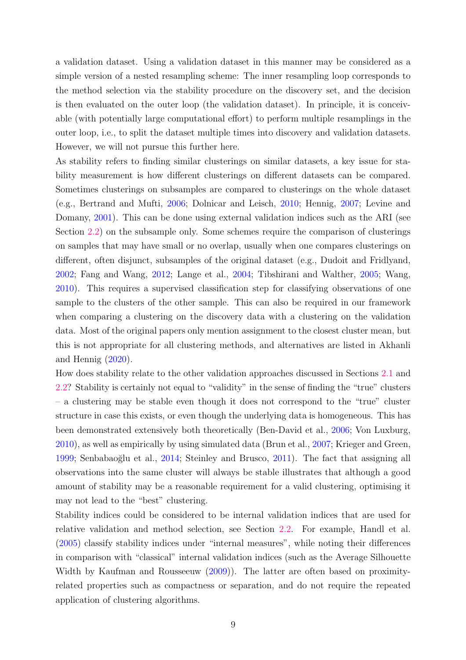a validation dataset. Using a validation dataset in this manner may be considered as a simple version of a nested resampling scheme: The inner resampling loop corresponds to the method selection via the stability procedure on the discovery set, and the decision is then evaluated on the outer loop (the validation dataset). In principle, it is conceivable (with potentially large computational effort) to perform multiple resamplings in the outer loop, i.e., to split the dataset multiple times into discovery and validation datasets. However, we will not pursue this further here.

As stability refers to finding similar clusterings on similar datasets, a key issue for stability measurement is how different clusterings on different datasets can be compared. Sometimes clusterings on subsamples are compared to clusterings on the whole dataset (e.g., Bertrand and Mufti, [2006;](#page-26-6) Dolnicar and Leisch, [2010](#page-27-4); Hennig, [2007](#page-28-5); Levine and Domany, [2001](#page-29-7)). This can be done using external validation indices such as the ARI (see Section [2.2\)](#page-5-0) on the subsample only. Some schemes require the comparison of clusterings on samples that may have small or no overlap, usually when one compares clusterings on different, often disjunct, subsamples of the original dataset (e.g., Dudoit and Fridlyand, [2002](#page-27-5); Fang and Wang, [2012;](#page-27-6) Lange et al., [2004;](#page-29-6) Tibshirani and Walther, [2005](#page-31-4); Wang, [2010](#page-31-5)). This requires a supervised classification step for classifying observations of one sample to the clusters of the other sample. This can also be required in our framework when comparing a clustering on the discovery data with a clustering on the validation data. Most of the original papers only mention assignment to the closest cluster mean, but this is not appropriate for all clustering methods, and alternatives are listed in Akhanli and Hennig [\(2020\)](#page-26-2).

How does stability relate to the other validation approaches discussed in Sections [2.1](#page-4-1) and [2.2?](#page-5-0) Stability is certainly not equal to "validity" in the sense of finding the "true" clusters – a clustering may be stable even though it does not correspond to the "true" cluster structure in case this exists, or even though the underlying data is homogeneous. This has been demonstrated extensively both theoretically (Ben-David et al., [2006;](#page-26-4) Von Luxburg, [2010](#page-31-6)), as well as empirically by using simulated data (Brun et al., [2007](#page-26-7); Krieger and Green, [1999](#page-29-8); Senbabaoğlu et al., [2014;](#page-30-5) Steinley and Brusco, [2011](#page-30-6)). The fact that assigning all observations into the same cluster will always be stable illustrates that although a good amount of stability may be a reasonable requirement for a valid clustering, optimising it may not lead to the "best" clustering.

Stability indices could be considered to be internal validation indices that are used for relative validation and method selection, see Section [2.2.](#page-5-0) For example, Handl et al. [\(2005\)](#page-28-0) classify stability indices under "internal measures", while noting their differences in comparison with "classical" internal validation indices (such as the Average Silhouette Width by Kaufman and Rousseeuw [\(2009](#page-29-3))). The latter are often based on proximityrelated properties such as compactness or separation, and do not require the repeated application of clustering algorithms.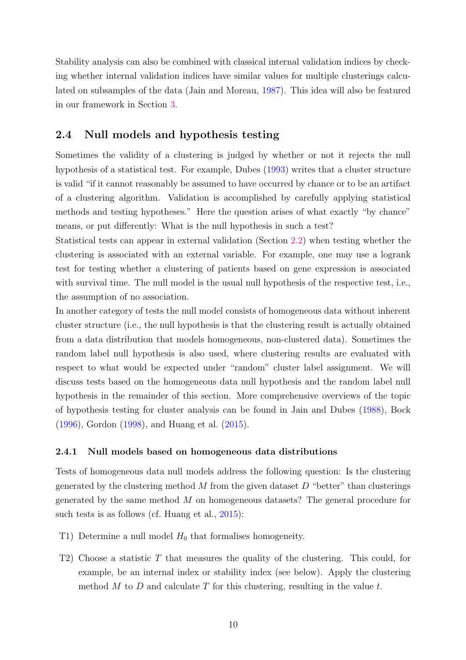Stability analysis can also be combined with classical internal validation indices by checking whether internal validation indices have similar values for multiple clusterings calculated on subsamples of the data (Jain and Moreau, [1987\)](#page-29-9). This idea will also be featured in our framework in Section [3.](#page-13-0)

#### <span id="page-9-2"></span>2.4 Null models and hypothesis testing

Sometimes the validity of a clustering is judged by whether or not it rejects the null hypothesis of a statistical test. For example, Dubes [\(1993](#page-27-7)) writes that a cluster structure is valid "if it cannot reasonably be assumed to have occurred by chance or to be an artifact of a clustering algorithm. Validation is accomplished by carefully applying statistical methods and testing hypotheses." Here the question arises of what exactly "by chance" means, or put differently: What is the null hypothesis in such a test?

Statistical tests can appear in external validation (Section [2.2\)](#page-5-0) when testing whether the clustering is associated with an external variable. For example, one may use a logrank test for testing whether a clustering of patients based on gene expression is associated with survival time. The null model is the usual null hypothesis of the respective test, i.e., the assumption of no association.

In another category of tests the null model consists of homogeneous data without inherent cluster structure (i.e., the null hypothesis is that the clustering result is actually obtained from a data distribution that models homogeneous, non-clustered data). Sometimes the random label null hypothesis is also used, where clustering results are evaluated with respect to what would be expected under "random" cluster label assignment. We will discuss tests based on the homogeneous data null hypothesis and the random label null hypothesis in the remainder of this section. More comprehensive overviews of the topic of hypothesis testing for cluster analysis can be found in Jain and Dubes [\(1988](#page-29-5)), Bock [\(1996\)](#page-26-8), Gordon [\(1998\)](#page-27-8), and Huang et al. [\(2015\)](#page-28-6).

#### <span id="page-9-1"></span>2.4.1 Null models based on homogeneous data distributions

Tests of homogeneous data null models address the following question: Is the clustering generated by the clustering method  $M$  from the given dataset  $D$  "better" than clusterings generated by the same method M on homogeneous datasets? The general procedure for such tests is as follows (cf. Huang et al., [2015\)](#page-28-6):

- <span id="page-9-0"></span>T1) Determine a null model  $H_0$  that formalises homogeneity.
- T2) Choose a statistic T that measures the quality of the clustering. This could, for example, be an internal index or stability index (see below). Apply the clustering method  $M$  to  $D$  and calculate  $T$  for this clustering, resulting in the value  $t$ .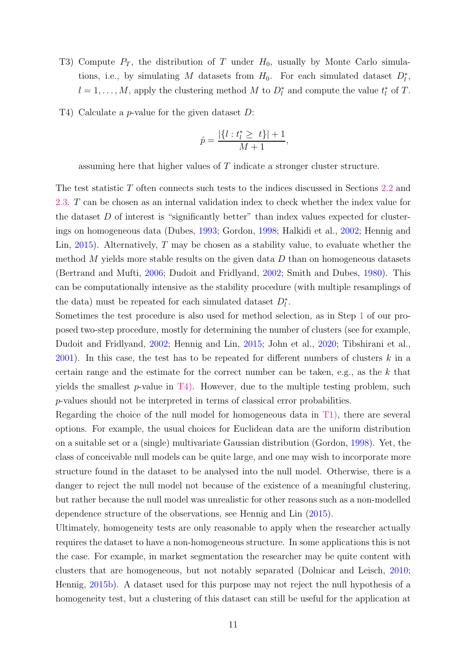- T3) Compute  $P_T$ , the distribution of T under  $H_0$ , usually by Monte Carlo simulations, i.e., by simulating M datasets from  $H_0$ . For each simulated dataset  $D_l^*$ ,  $l = 1, \ldots, M$ , apply the clustering method M to  $D_l^*$  and compute the value  $t_l^*$  $_{l}^{*}$  of T.
- <span id="page-10-0"></span>T4) Calculate a p-value for the given dataset D:

$$
\hat{p} = \frac{|\{l : t^*_l \ge t\}| + 1}{M + 1},
$$

assuming here that higher values of T indicate a stronger cluster structure.

The test statistic T often connects such tests to the indices discussed in Sections [2.2](#page-5-0) and [2.3.](#page-7-0) T can be chosen as an internal validation index to check whether the index value for the dataset  $D$  of interest is "significantly better" than index values expected for clusterings on homogeneous data (Dubes, [1993;](#page-27-7) Gordon, [1998](#page-27-8); Halkidi et al., [2002](#page-28-7); Hennig and Lin, [2015\)](#page-28-8). Alternatively, T may be chosen as a stability value, to evaluate whether the method M yields more stable results on the given data  $D$  than on homogeneous datasets (Bertrand and Mufti, [2006](#page-26-6); Dudoit and Fridlyand, [2002;](#page-27-5) Smith and Dubes, [1980\)](#page-30-7). This can be computationally intensive as the stability procedure (with multiple resamplings of the data) must be repeated for each simulated dataset  $D_l^*$ .

Sometimes the test procedure is also used for method selection, as in Step [1](#page-3-1) of our proposed two-step procedure, mostly for determining the number of clusters (see for example, Dudoit and Fridlyand, [2002](#page-27-5); Hennig and Lin, [2015;](#page-28-8) John et al., [2020;](#page-29-10) Tibshirani et al., [2001](#page-31-7)). In this case, the test has to be repeated for different numbers of clusters  $k$  in a certain range and the estimate for the correct number can be taken, e.g., as the k that yields the smallest p-value in  $T_4$ ). However, due to the multiple testing problem, such p-values should not be interpreted in terms of classical error probabilities.

Regarding the choice of the null model for homogeneous data in [T1\),](#page-9-0) there are several options. For example, the usual choices for Euclidean data are the uniform distribution on a suitable set or a (single) multivariate Gaussian distribution (Gordon, [1998](#page-27-8)). Yet, the class of conceivable null models can be quite large, and one may wish to incorporate more structure found in the dataset to be analysed into the null model. Otherwise, there is a danger to reject the null model not because of the existence of a meaningful clustering, but rather because the null model was unrealistic for other reasons such as a non-modelled dependence structure of the observations, see Hennig and Lin [\(2015\)](#page-28-8).

Ultimately, homogeneity tests are only reasonable to apply when the researcher actually requires the dataset to have a non-homogeneous structure. In some applications this is not the case. For example, in market segmentation the researcher may be quite content with clusters that are homogeneous, but not notably separated (Dolnicar and Leisch, [2010](#page-27-4); Hennig, [2015b](#page-28-2)). A dataset used for this purpose may not reject the null hypothesis of a homogeneity test, but a clustering of this dataset can still be useful for the application at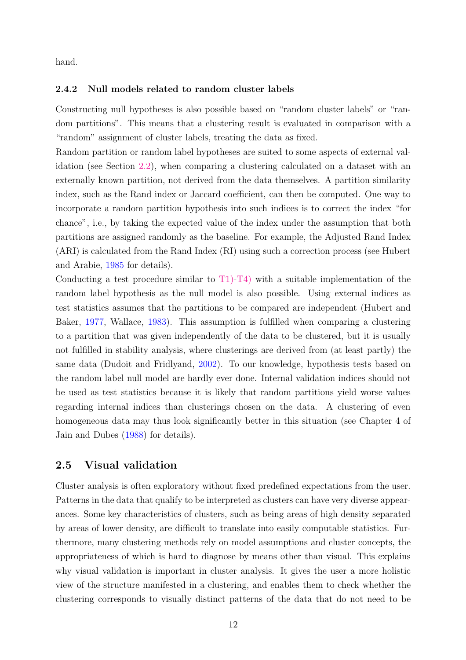hand.

#### 2.4.2 Null models related to random cluster labels

Constructing null hypotheses is also possible based on "random cluster labels" or "random partitions". This means that a clustering result is evaluated in comparison with a "random" assignment of cluster labels, treating the data as fixed.

Random partition or random label hypotheses are suited to some aspects of external validation (see Section [2.2\)](#page-5-0), when comparing a clustering calculated on a dataset with an externally known partition, not derived from the data themselves. A partition similarity index, such as the Rand index or Jaccard coefficient, can then be computed. One way to incorporate a random partition hypothesis into such indices is to correct the index "for chance", i.e., by taking the expected value of the index under the assumption that both partitions are assigned randomly as the baseline. For example, the Adjusted Rand Index (ARI) is calculated from the Rand Index (RI) using such a correction process (see Hubert and Arabie, [1985](#page-28-4) for details).

Conducting a test procedure similar to  $T1$ [-T4\)](#page-10-0) with a suitable implementation of the random label hypothesis as the null model is also possible. Using external indices as test statistics assumes that the partitions to be compared are independent (Hubert and Baker, [1977](#page-28-9), Wallace, [1983](#page-31-8)). This assumption is fulfilled when comparing a clustering to a partition that was given independently of the data to be clustered, but it is usually not fulfilled in stability analysis, where clusterings are derived from (at least partly) the same data (Dudoit and Fridlyand, [2002\)](#page-27-5). To our knowledge, hypothesis tests based on the random label null model are hardly ever done. Internal validation indices should not be used as test statistics because it is likely that random partitions yield worse values regarding internal indices than clusterings chosen on the data. A clustering of even homogeneous data may thus look significantly better in this situation (see Chapter 4 of Jain and Dubes [\(1988](#page-29-5)) for details).

#### 2.5 Visual validation

Cluster analysis is often exploratory without fixed predefined expectations from the user. Patterns in the data that qualify to be interpreted as clusters can have very diverse appearances. Some key characteristics of clusters, such as being areas of high density separated by areas of lower density, are difficult to translate into easily computable statistics. Furthermore, many clustering methods rely on model assumptions and cluster concepts, the appropriateness of which is hard to diagnose by means other than visual. This explains why visual validation is important in cluster analysis. It gives the user a more holistic view of the structure manifested in a clustering, and enables them to check whether the clustering corresponds to visually distinct patterns of the data that do not need to be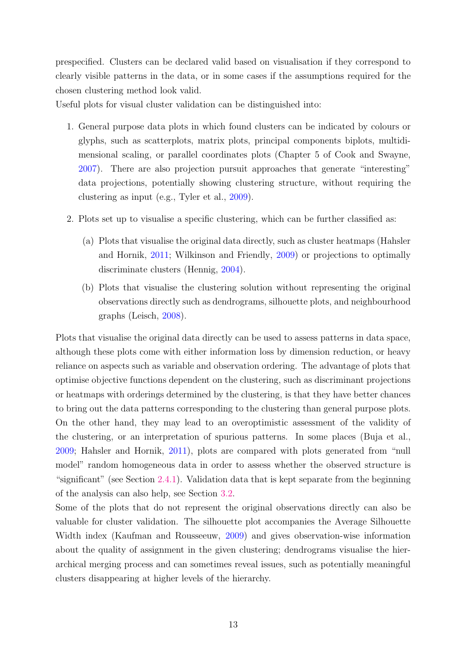prespecified. Clusters can be declared valid based on visualisation if they correspond to clearly visible patterns in the data, or in some cases if the assumptions required for the chosen clustering method look valid.

Useful plots for visual cluster validation can be distinguished into:

- 1. General purpose data plots in which found clusters can be indicated by colours or glyphs, such as scatterplots, matrix plots, principal components biplots, multidimensional scaling, or parallel coordinates plots (Chapter 5 of Cook and Swayne, [2007\)](#page-27-9). There are also projection pursuit approaches that generate "interesting" data projections, potentially showing clustering structure, without requiring the clustering as input (e.g., Tyler et al., [2009](#page-31-9)).
- 2. Plots set up to visualise a specific clustering, which can be further classified as:
	- (a) Plots that visualise the original data directly, such as cluster heatmaps (Hahsler and Hornik, [2011;](#page-28-10) Wilkinson and Friendly, [2009](#page-31-10)) or projections to optimally discriminate clusters (Hennig, [2004\)](#page-28-11).
	- (b) Plots that visualise the clustering solution without representing the original observations directly such as dendrograms, silhouette plots, and neighbourhood graphs (Leisch, [2008\)](#page-29-11).

Plots that visualise the original data directly can be used to assess patterns in data space, although these plots come with either information loss by dimension reduction, or heavy reliance on aspects such as variable and observation ordering. The advantage of plots that optimise objective functions dependent on the clustering, such as discriminant projections or heatmaps with orderings determined by the clustering, is that they have better chances to bring out the data patterns corresponding to the clustering than general purpose plots. On the other hand, they may lead to an overoptimistic assessment of the validity of the clustering, or an interpretation of spurious patterns. In some places (Buja et al., [2009](#page-27-10); Hahsler and Hornik, [2011\)](#page-28-10), plots are compared with plots generated from "null model" random homogeneous data in order to assess whether the observed structure is "significant" (see Section [2.4.1\)](#page-9-1). Validation data that is kept separate from the beginning of the analysis can also help, see Section [3.2.](#page-15-0)

Some of the plots that do not represent the original observations directly can also be valuable for cluster validation. The silhouette plot accompanies the Average Silhouette Width index (Kaufman and Rousseeuw, [2009](#page-29-3)) and gives observation-wise information about the quality of assignment in the given clustering; dendrograms visualise the hierarchical merging process and can sometimes reveal issues, such as potentially meaningful clusters disappearing at higher levels of the hierarchy.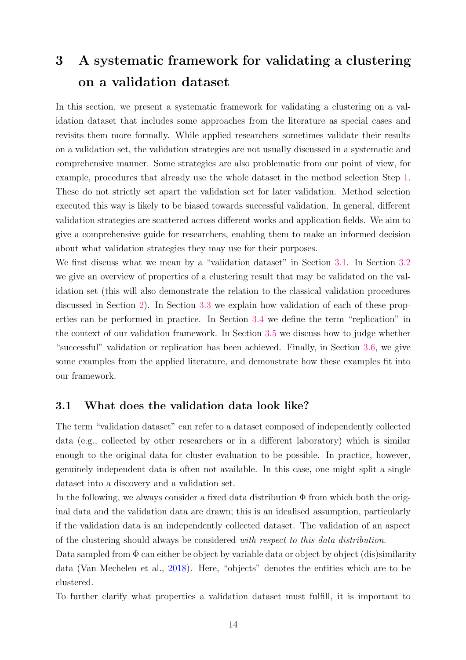# <span id="page-13-0"></span>3 A systematic framework for validating a clustering on a validation dataset

In this section, we present a systematic framework for validating a clustering on a validation dataset that includes some approaches from the literature as special cases and revisits them more formally. While applied researchers sometimes validate their results on a validation set, the validation strategies are not usually discussed in a systematic and comprehensive manner. Some strategies are also problematic from our point of view, for example, procedures that already use the whole dataset in the method selection Step [1.](#page-3-1) These do not strictly set apart the validation set for later validation. Method selection executed this way is likely to be biased towards successful validation. In general, different validation strategies are scattered across different works and application fields. We aim to give a comprehensive guide for researchers, enabling them to make an informed decision about what validation strategies they may use for their purposes.

We first discuss what we mean by a "validation dataset" in Section [3.1.](#page-13-1) In Section [3.2](#page-15-0) we give an overview of properties of a clustering result that may be validated on the validation set (this will also demonstrate the relation to the classical validation procedures discussed in Section [2\)](#page-4-0). In Section [3.3](#page-17-0) we explain how validation of each of these properties can be performed in practice. In Section [3.4](#page-20-0) we define the term "replication" in the context of our validation framework. In Section [3.5](#page-21-0) we discuss how to judge whether "successful" validation or replication has been achieved. Finally, in Section [3.6,](#page-22-0) we give some examples from the applied literature, and demonstrate how these examples fit into our framework.

#### <span id="page-13-1"></span>3.1 What does the validation data look like?

The term "validation dataset" can refer to a dataset composed of independently collected data (e.g., collected by other researchers or in a different laboratory) which is similar enough to the original data for cluster evaluation to be possible. In practice, however, genuinely independent data is often not available. In this case, one might split a single dataset into a discovery and a validation set.

In the following, we always consider a fixed data distribution  $\Phi$  from which both the original data and the validation data are drawn; this is an idealised assumption, particularly if the validation data is an independently collected dataset. The validation of an aspect of the clustering should always be considered *with respect to this data distribution*.

Data sampled from  $\Phi$  can either be object by variable data or object by object (dis)similarity data (Van Mechelen et al., [2018\)](#page-31-0). Here, "objects" denotes the entities which are to be clustered.

To further clarify what properties a validation dataset must fulfill, it is important to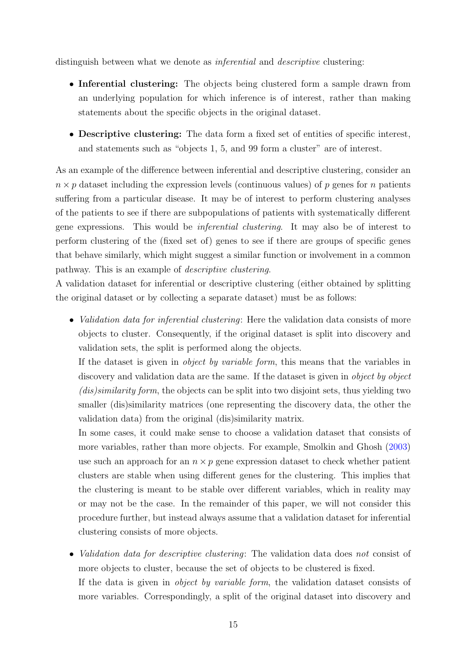distinguish between what we denote as *inferential* and *descriptive* clustering:

- Inferential clustering: The objects being clustered form a sample drawn from an underlying population for which inference is of interest, rather than making statements about the specific objects in the original dataset.
- Descriptive clustering: The data form a fixed set of entities of specific interest, and statements such as "objects 1, 5, and 99 form a cluster" are of interest.

As an example of the difference between inferential and descriptive clustering, consider an  $n \times p$  dataset including the expression levels (continuous values) of p genes for n patients suffering from a particular disease. It may be of interest to perform clustering analyses of the patients to see if there are subpopulations of patients with systematically different gene expressions. This would be *inferential clustering*. It may also be of interest to perform clustering of the (fixed set of) genes to see if there are groups of specific genes that behave similarly, which might suggest a similar function or involvement in a common pathway. This is an example of *descriptive clustering*.

A validation dataset for inferential or descriptive clustering (either obtained by splitting the original dataset or by collecting a separate dataset) must be as follows:

• *Validation data for inferential clustering*: Here the validation data consists of more objects to cluster. Consequently, if the original dataset is split into discovery and validation sets, the split is performed along the objects.

If the dataset is given in *object by variable form*, this means that the variables in discovery and validation data are the same. If the dataset is given in *object by object (dis)similarity form*, the objects can be split into two disjoint sets, thus yielding two smaller (dis)similarity matrices (one representing the discovery data, the other the validation data) from the original (dis)similarity matrix.

In some cases, it could make sense to choose a validation dataset that consists of more variables, rather than more objects. For example, Smolkin and Ghosh [\(2003\)](#page-30-8) use such an approach for an  $n \times p$  gene expression dataset to check whether patient clusters are stable when using different genes for the clustering. This implies that the clustering is meant to be stable over different variables, which in reality may or may not be the case. In the remainder of this paper, we will not consider this procedure further, but instead always assume that a validation dataset for inferential clustering consists of more objects.

• *Validation data for descriptive clustering*: The validation data does *not* consist of more objects to cluster, because the set of objects to be clustered is fixed. If the data is given in *object by variable form*, the validation dataset consists of more variables. Correspondingly, a split of the original dataset into discovery and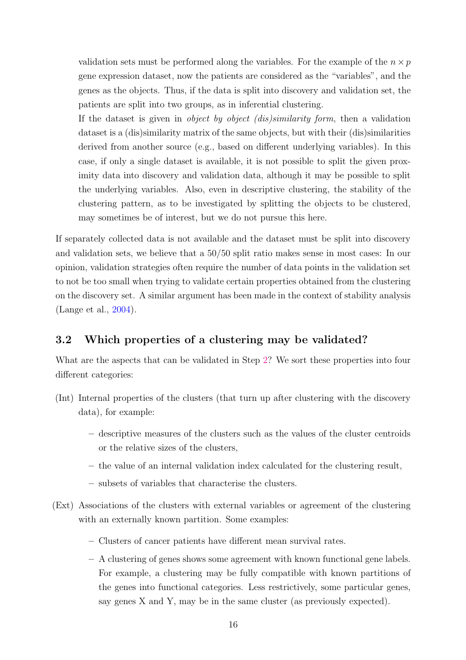validation sets must be performed along the variables. For the example of the  $n \times p$ gene expression dataset, now the patients are considered as the "variables", and the genes as the objects. Thus, if the data is split into discovery and validation set, the patients are split into two groups, as in inferential clustering.

If the dataset is given in *object by object (dis)similarity form*, then a validation dataset is a (dis)similarity matrix of the same objects, but with their (dis)similarities derived from another source (e.g., based on different underlying variables). In this case, if only a single dataset is available, it is not possible to split the given proximity data into discovery and validation data, although it may be possible to split the underlying variables. Also, even in descriptive clustering, the stability of the clustering pattern, as to be investigated by splitting the objects to be clustered, may sometimes be of interest, but we do not pursue this here.

If separately collected data is not available and the dataset must be split into discovery and validation sets, we believe that a 50/50 split ratio makes sense in most cases: In our opinion, validation strategies often require the number of data points in the validation set to not be too small when trying to validate certain properties obtained from the clustering on the discovery set. A similar argument has been made in the context of stability analysis (Lange et al., [2004\)](#page-29-6).

### <span id="page-15-0"></span>3.2 Which properties of a clustering may be validated?

What are the aspects that can be validated in Step [2?](#page-3-0) We sort these properties into four different categories:

- <span id="page-15-1"></span>(Int) Internal properties of the clusters (that turn up after clustering with the discovery data), for example:
	- descriptive measures of the clusters such as the values of the cluster centroids or the relative sizes of the clusters,
	- the value of an internal validation index calculated for the clustering result,
	- subsets of variables that characterise the clusters.
- <span id="page-15-2"></span>(Ext) Associations of the clusters with external variables or agreement of the clustering with an externally known partition. Some examples:
	- Clusters of cancer patients have different mean survival rates.
	- A clustering of genes shows some agreement with known functional gene labels. For example, a clustering may be fully compatible with known partitions of the genes into functional categories. Less restrictively, some particular genes, say genes X and Y, may be in the same cluster (as previously expected).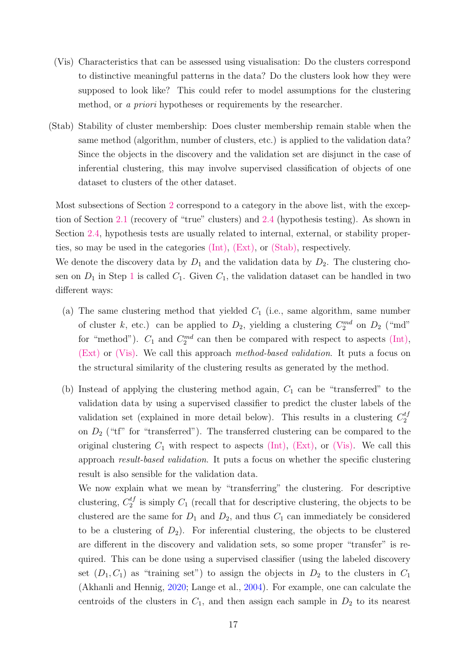- <span id="page-16-1"></span>(Vis) Characteristics that can be assessed using visualisation: Do the clusters correspond to distinctive meaningful patterns in the data? Do the clusters look how they were supposed to look like? This could refer to model assumptions for the clustering method, or *a priori* hypotheses or requirements by the researcher.
- <span id="page-16-0"></span>(Stab) Stability of cluster membership: Does cluster membership remain stable when the same method (algorithm, number of clusters, etc.) is applied to the validation data? Since the objects in the discovery and the validation set are disjunct in the case of inferential clustering, this may involve supervised classification of objects of one dataset to clusters of the other dataset.

Most subsections of Section [2](#page-4-0) correspond to a category in the above list, with the exception of Section [2.1](#page-4-1) (recovery of "true" clusters) and [2.4](#page-9-2) (hypothesis testing). As shown in Section [2.4,](#page-9-2) hypothesis tests are usually related to internal, external, or stability properties, so may be used in the categories [\(Int\),](#page-15-1) [\(Ext\),](#page-15-2) or [\(Stab\),](#page-16-0) respectively.

We denote the discovery data by  $D_1$  and the validation data by  $D_2$ . The clustering chosen on  $D_1$  $D_1$  in Step 1 is called  $C_1$ . Given  $C_1$ , the validation dataset can be handled in two different ways:

- (a) The same clustering method that yielded  $C_1$  (i.e., same algorithm, same number of cluster k, etc.) can be applied to  $D_2$ , yielding a clustering  $C_2^{md}$  on  $D_2$  ("md" for "method").  $C_1$  and  $C_2^{md}$  can then be compared with respect to aspects [\(Int\),](#page-15-1) [\(Ext\)](#page-15-2) or [\(Vis\).](#page-16-1) We call this approach *method-based validation*. It puts a focus on the structural similarity of the clustering results as generated by the method.
- (b) Instead of applying the clustering method again,  $C_1$  can be "transferred" to the validation data by using a supervised classifier to predict the cluster labels of the validation set (explained in more detail below). This results in a clustering  $C_2^{tf}$ on  $D_2$  ("tf" for "transferred"). The transferred clustering can be compared to the original clustering  $C_1$  with respect to aspects [\(Int\),](#page-15-1) [\(Ext\),](#page-15-2) or [\(Vis\).](#page-16-1) We call this approach *result-based validation*. It puts a focus on whether the specific clustering result is also sensible for the validation data.

We now explain what we mean by "transferring" the clustering. For descriptive clustering,  $C_2^{tf}$  is simply  $C_1$  (recall that for descriptive clustering, the objects to be clustered are the same for  $D_1$  and  $D_2$ , and thus  $C_1$  can immediately be considered to be a clustering of  $D_2$ ). For inferential clustering, the objects to be clustered are different in the discovery and validation sets, so some proper "transfer" is required. This can be done using a supervised classifier (using the labeled discovery set  $(D_1, C_1)$  as "training set") to assign the objects in  $D_2$  to the clusters in  $C_1$ (Akhanli and Hennig, [2020;](#page-26-2) Lange et al., [2004\)](#page-29-6). For example, one can calculate the centroids of the clusters in  $C_1$ , and then assign each sample in  $D_2$  to its nearest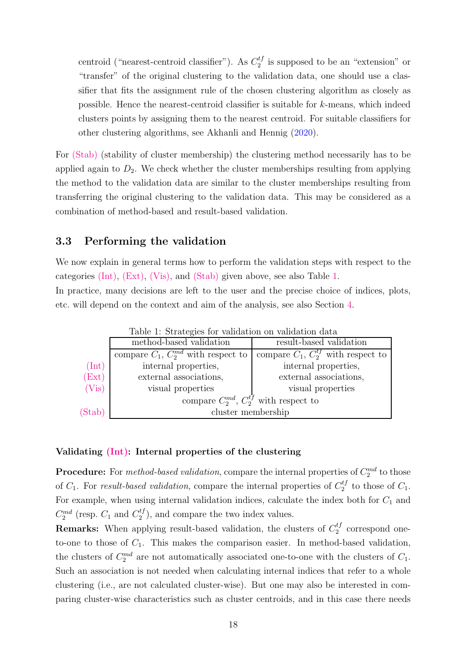centroid ("nearest-centroid classifier"). As  $C_2^{tf}$  is supposed to be an "extension" or "transfer" of the original clustering to the validation data, one should use a classifier that fits the assignment rule of the chosen clustering algorithm as closely as possible. Hence the nearest-centroid classifier is suitable for k-means, which indeed clusters points by assigning them to the nearest centroid. For suitable classifiers for other clustering algorithms, see Akhanli and Hennig [\(2020](#page-26-2)).

For [\(Stab\)](#page-16-0) (stability of cluster membership) the clustering method necessarily has to be applied again to  $D_2$ . We check whether the cluster memberships resulting from applying the method to the validation data are similar to the cluster memberships resulting from transferring the original clustering to the validation data. This may be considered as a combination of method-based and result-based validation.

#### <span id="page-17-0"></span>3.3 Performing the validation

We now explain in general terms how to perform the validation steps with respect to the categories [\(Int\),](#page-15-1) [\(Ext\),](#page-15-2) [\(Vis\),](#page-16-1) and [\(Stab\)](#page-16-0) given above, see also Table [1.](#page-17-1) In practice, many decisions are left to the user and the precise choice of indices, plots, etc. will depend on the context and aim of the analysis, see also Section [4.](#page-23-0)

| Table 1. Strategies for validation on validation data |                                                 |                                        |
|-------------------------------------------------------|-------------------------------------------------|----------------------------------------|
|                                                       | method-based validation                         | result-based validation                |
|                                                       | compare $C_1$ , $C_2^{md}$ with respect to      | compare $C_1, C_2^{t}$ with respect to |
| $(\text{Int})$                                        | internal properties,                            | internal properties,                   |
| (Ext)                                                 | external associations,                          | external associations,                 |
| (Vis)                                                 | visual properties                               | visual properties                      |
|                                                       | compare $C_2^{md}$ , $C_2^{tf}$ with respect to |                                        |
| (Stab)                                                | cluster membership                              |                                        |

<span id="page-17-1"></span>Table 1: Strategies for validation on validation data

#### Validating [\(Int\):](#page-15-1) Internal properties of the clustering

**Procedure:** For *method-based validation*, compare the internal properties of  $C_2^{md}$  to those of  $C_1$ . For *result-based validation*, compare the internal properties of  $C_2^{tf}$  to those of  $C_1$ . For example, when using internal validation indices, calculate the index both for  $C_1$  and  $C_2^{md}$  (resp.  $C_1$  and  $C_2^{tf}$ ), and compare the two index values.

**Remarks:** When applying result-based validation, the clusters of  $C_2^{tf}$  correspond oneto-one to those of  $C_1$ . This makes the comparison easier. In method-based validation, the clusters of  $C_2^{md}$  are not automatically associated one-to-one with the clusters of  $C_1$ . Such an association is not needed when calculating internal indices that refer to a whole clustering (i.e., are not calculated cluster-wise). But one may also be interested in comparing cluster-wise characteristics such as cluster centroids, and in this case there needs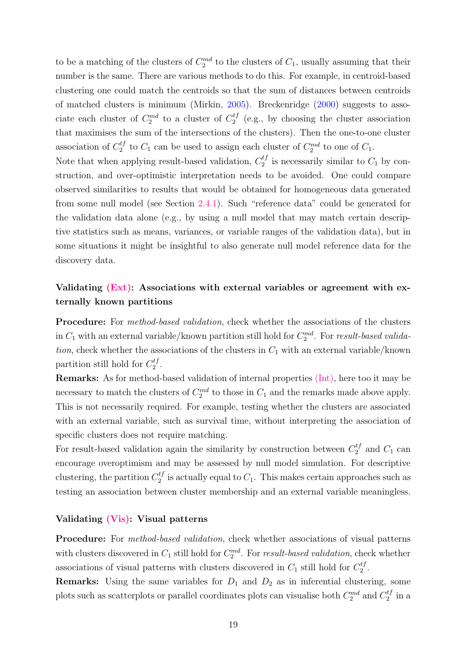to be a matching of the clusters of  $C_2^{md}$  to the clusters of  $C_1$ , usually assuming that their number is the same. There are various methods to do this. For example, in centroid-based clustering one could match the centroids so that the sum of distances between centroids of matched clusters is minimum (Mirkin, [2005\)](#page-30-9). Breckenridge [\(2000](#page-26-9)) suggests to associate each cluster of  $C_2^{md}$  to a cluster of  $C_2^{tf}$  (e.g., by choosing the cluster association that maximises the sum of the intersections of the clusters). Then the one-to-one cluster association of  $C_2^{tf}$  to  $C_1$  can be used to assign each cluster of  $C_2^{md}$  to one of  $C_1$ .

Note that when applying result-based validation,  $C_2^{tf}$  is necessarily similar to  $C_1$  by construction, and over-optimistic interpretation needs to be avoided. One could compare observed similarities to results that would be obtained for homogeneous data generated from some null model (see Section [2.4.1\)](#page-9-1). Such "reference data" could be generated for the validation data alone (e.g., by using a null model that may match certain descriptive statistics such as means, variances, or variable ranges of the validation data), but in some situations it might be insightful to also generate null model reference data for the discovery data.

### Validating [\(Ext\):](#page-15-2) Associations with external variables or agreement with externally known partitions

Procedure: For *method-based validation*, check whether the associations of the clusters in  $C_1$  with an external variable/known partition still hold for  $C_2^{md}$ . For *result-based validation*, check whether the associations of the clusters in  $C_1$  with an external variable/known partition still hold for  $C_2^{tf}$ .

Remarks: As for method-based validation of internal properties [\(Int\),](#page-15-1) here too it may be necessary to match the clusters of  $C_2^{md}$  to those in  $C_1$  and the remarks made above apply. This is not necessarily required. For example, testing whether the clusters are associated with an external variable, such as survival time, without interpreting the association of specific clusters does not require matching.

For result-based validation again the similarity by construction between  $C_2^{tf}$  and  $C_1$  can encourage overoptimism and may be assessed by null model simulation. For descriptive clustering, the partition  $C_2^{tf}$  is actually equal to  $C_1$ . This makes certain approaches such as testing an association between cluster membership and an external variable meaningless.

#### Validating [\(Vis\):](#page-16-1) Visual patterns

Procedure: For *method-based validation*, check whether associations of visual patterns with clusters discovered in  $C_1$  still hold for  $C_2^{md}$ . For *result-based validation*, check whether associations of visual patterns with clusters discovered in  $C_1$  still hold for  $C_2^{tf}$ .

**Remarks:** Using the same variables for  $D_1$  and  $D_2$  as in inferential clustering, some plots such as scatterplots or parallel coordinates plots can visualise both  $C_2^{md}$  and  $C_2^{tf}$  in a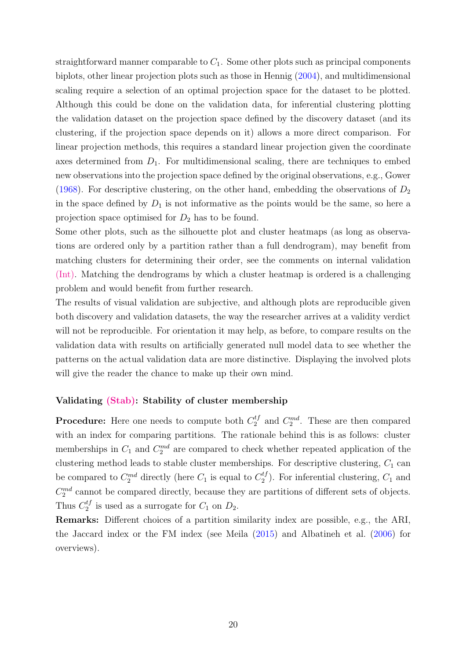straightforward manner comparable to  $C_1$ . Some other plots such as principal components biplots, other linear projection plots such as those in Hennig [\(2004](#page-28-11)), and multidimensional scaling require a selection of an optimal projection space for the dataset to be plotted. Although this could be done on the validation data, for inferential clustering plotting the validation dataset on the projection space defined by the discovery dataset (and its clustering, if the projection space depends on it) allows a more direct comparison. For linear projection methods, this requires a standard linear projection given the coordinate axes determined from  $D_1$ . For multidimensional scaling, there are techniques to embed new observations into the projection space defined by the original observations, e.g., Gower [\(1968\)](#page-28-12). For descriptive clustering, on the other hand, embedding the observations of  $D_2$ in the space defined by  $D_1$  is not informative as the points would be the same, so here a projection space optimised for  $D_2$  has to be found.

Some other plots, such as the silhouette plot and cluster heatmaps (as long as observations are ordered only by a partition rather than a full dendrogram), may benefit from matching clusters for determining their order, see the comments on internal validation [\(Int\).](#page-15-1) Matching the dendrograms by which a cluster heatmap is ordered is a challenging problem and would benefit from further research.

The results of visual validation are subjective, and although plots are reproducible given both discovery and validation datasets, the way the researcher arrives at a validity verdict will not be reproducible. For orientation it may help, as before, to compare results on the validation data with results on artificially generated null model data to see whether the patterns on the actual validation data are more distinctive. Displaying the involved plots will give the reader the chance to make up their own mind.

#### Validating [\(Stab\):](#page-16-0) Stability of cluster membership

**Procedure:** Here one needs to compute both  $C_2^{tf}$  and  $C_2^{md}$ . These are then compared with an index for comparing partitions. The rationale behind this is as follows: cluster memberships in  $C_1$  and  $C_2^{md}$  are compared to check whether repeated application of the clustering method leads to stable cluster memberships. For descriptive clustering,  $C_1$  can be compared to  $C_2^{md}$  directly (here  $C_1$  is equal to  $C_2^{tf}$ ). For inferential clustering,  $C_1$  and  $C_2^{md}$  cannot be compared directly, because they are partitions of different sets of objects. Thus  $C_2^{tf}$  is used as a surrogate for  $C_1$  on  $D_2$ .

Remarks: Different choices of a partition similarity index are possible, e.g., the ARI, the Jaccard index or the FM index (see Meila [\(2015](#page-29-4)) and Albatineh et al. [\(2006\)](#page-26-3) for overviews).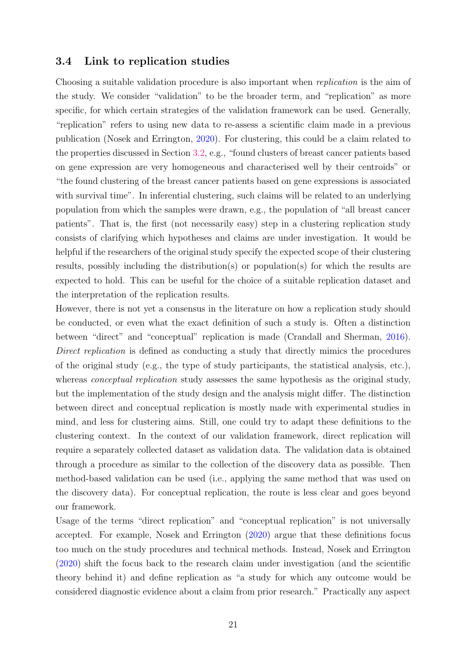#### <span id="page-20-0"></span>3.4 Link to replication studies

Choosing a suitable validation procedure is also important when *replication* is the aim of the study. We consider "validation" to be the broader term, and "replication" as more specific, for which certain strategies of the validation framework can be used. Generally, "replication" refers to using new data to re-assess a scientific claim made in a previous publication (Nosek and Errington, [2020\)](#page-30-10). For clustering, this could be a claim related to the properties discussed in Section [3.2,](#page-15-0) e.g., "found clusters of breast cancer patients based on gene expression are very homogeneous and characterised well by their centroids" or "the found clustering of the breast cancer patients based on gene expressions is associated with survival time". In inferential clustering, such claims will be related to an underlying population from which the samples were drawn, e.g., the population of "all breast cancer patients". That is, the first (not necessarily easy) step in a clustering replication study consists of clarifying which hypotheses and claims are under investigation. It would be helpful if the researchers of the original study specify the expected scope of their clustering results, possibly including the distribution(s) or population(s) for which the results are expected to hold. This can be useful for the choice of a suitable replication dataset and the interpretation of the replication results.

However, there is not yet a consensus in the literature on how a replication study should be conducted, or even what the exact definition of such a study is. Often a distinction between "direct" and "conceptual" replication is made (Crandall and Sherman, [2016\)](#page-27-11). *Direct replication* is defined as conducting a study that directly mimics the procedures of the original study (e.g., the type of study participants, the statistical analysis, etc.), whereas *conceptual replication* study assesses the same hypothesis as the original study, but the implementation of the study design and the analysis might differ. The distinction between direct and conceptual replication is mostly made with experimental studies in mind, and less for clustering aims. Still, one could try to adapt these definitions to the clustering context. In the context of our validation framework, direct replication will require a separately collected dataset as validation data. The validation data is obtained through a procedure as similar to the collection of the discovery data as possible. Then method-based validation can be used (i.e., applying the same method that was used on the discovery data). For conceptual replication, the route is less clear and goes beyond our framework.

Usage of the terms "direct replication" and "conceptual replication" is not universally accepted. For example, Nosek and Errington [\(2020\)](#page-30-10) argue that these definitions focus too much on the study procedures and technical methods. Instead, Nosek and Errington [\(2020\)](#page-30-10) shift the focus back to the research claim under investigation (and the scientific theory behind it) and define replication as "a study for which any outcome would be considered diagnostic evidence about a claim from prior research." Practically any aspect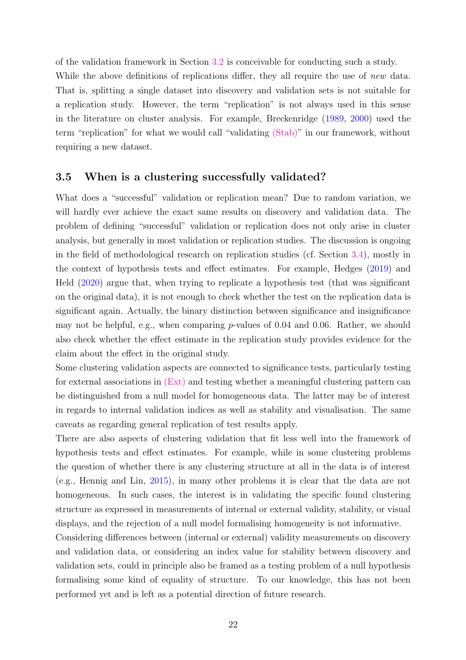of the validation framework in Section [3.2](#page-15-0) is conceivable for conducting such a study. While the above definitions of replications differ, they all require the use of *new* data. That is, splitting a single dataset into discovery and validation sets is not suitable for a replication study. However, the term "replication" is not always used in this sense in the literature on cluster analysis. For example, Breckenridge [\(1989,](#page-26-0) [2000\)](#page-26-9) used the term "replication" for what we would call "validating [\(Stab\)"](#page-16-0) in our framework, without requiring a new dataset.

#### <span id="page-21-0"></span>3.5 When is a clustering successfully validated?

What does a "successful" validation or replication mean? Due to random variation, we will hardly ever achieve the exact same results on discovery and validation data. The problem of defining "successful" validation or replication does not only arise in cluster analysis, but generally in most validation or replication studies. The discussion is ongoing in the field of methodological research on replication studies (cf. Section [3.4\)](#page-20-0), mostly in the context of hypothesis tests and effect estimates. For example, Hedges [\(2019\)](#page-28-13) and Held [\(2020](#page-28-14)) argue that, when trying to replicate a hypothesis test (that was significant on the original data), it is not enough to check whether the test on the replication data is significant again. Actually, the binary distinction between significance and insignificance may not be helpful, e.g., when comparing  $p$ -values of 0.04 and 0.06. Rather, we should also check whether the effect estimate in the replication study provides evidence for the claim about the effect in the original study.

Some clustering validation aspects are connected to significance tests, particularly testing for external associations in [\(Ext\)](#page-15-2) and testing whether a meaningful clustering pattern can be distinguished from a null model for homogeneous data. The latter may be of interest in regards to internal validation indices as well as stability and visualisation. The same caveats as regarding general replication of test results apply.

There are also aspects of clustering validation that fit less well into the framework of hypothesis tests and effect estimates. For example, while in some clustering problems the question of whether there is any clustering structure at all in the data is of interest (e.g., Hennig and Lin, [2015\)](#page-28-8), in many other problems it is clear that the data are not homogeneous. In such cases, the interest is in validating the specific found clustering structure as expressed in measurements of internal or external validity, stability, or visual displays, and the rejection of a null model formalising homogeneity is not informative.

Considering differences between (internal or external) validity measurements on discovery and validation data, or considering an index value for stability between discovery and validation sets, could in principle also be framed as a testing problem of a null hypothesis formalising some kind of equality of structure. To our knowledge, this has not been performed yet and is left as a potential direction of future research.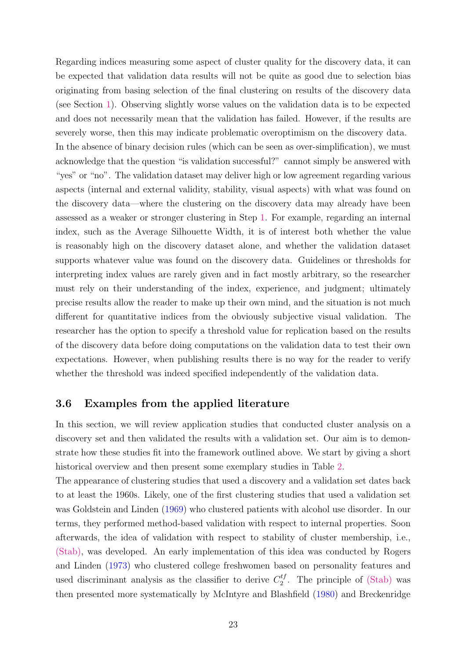Regarding indices measuring some aspect of cluster quality for the discovery data, it can be expected that validation data results will not be quite as good due to selection bias originating from basing selection of the final clustering on results of the discovery data (see Section [1\)](#page-1-0). Observing slightly worse values on the validation data is to be expected and does not necessarily mean that the validation has failed. However, if the results are severely worse, then this may indicate problematic overoptimism on the discovery data. In the absence of binary decision rules (which can be seen as over-simplification), we must acknowledge that the question "is validation successful?" cannot simply be answered with "yes" or "no". The validation dataset may deliver high or low agreement regarding various aspects (internal and external validity, stability, visual aspects) with what was found on the discovery data—where the clustering on the discovery data may already have been assessed as a weaker or stronger clustering in Step [1.](#page-3-1) For example, regarding an internal index, such as the Average Silhouette Width, it is of interest both whether the value is reasonably high on the discovery dataset alone, and whether the validation dataset supports whatever value was found on the discovery data. Guidelines or thresholds for interpreting index values are rarely given and in fact mostly arbitrary, so the researcher must rely on their understanding of the index, experience, and judgment; ultimately precise results allow the reader to make up their own mind, and the situation is not much different for quantitative indices from the obviously subjective visual validation. The researcher has the option to specify a threshold value for replication based on the results of the discovery data before doing computations on the validation data to test their own expectations. However, when publishing results there is no way for the reader to verify whether the threshold was indeed specified independently of the validation data.

#### <span id="page-22-0"></span>3.6 Examples from the applied literature

In this section, we will review application studies that conducted cluster analysis on a discovery set and then validated the results with a validation set. Our aim is to demonstrate how these studies fit into the framework outlined above. We start by giving a short historical overview and then present some exemplary studies in Table [2.](#page-24-0)

The appearance of clustering studies that used a discovery and a validation set dates back to at least the 1960s. Likely, one of the first clustering studies that used a validation set was Goldstein and Linden [\(1969](#page-27-12)) who clustered patients with alcohol use disorder. In our terms, they performed method-based validation with respect to internal properties. Soon afterwards, the idea of validation with respect to stability of cluster membership, i.e., [\(Stab\),](#page-16-0) was developed. An early implementation of this idea was conducted by Rogers and Linden [\(1973](#page-30-11)) who clustered college freshwomen based on personality features and used discriminant analysis as the classifier to derive  $C_2^{tf}$ . The principle of [\(Stab\)](#page-16-0) was then presented more systematically by McIntyre and Blashfield [\(1980](#page-29-0)) and Breckenridge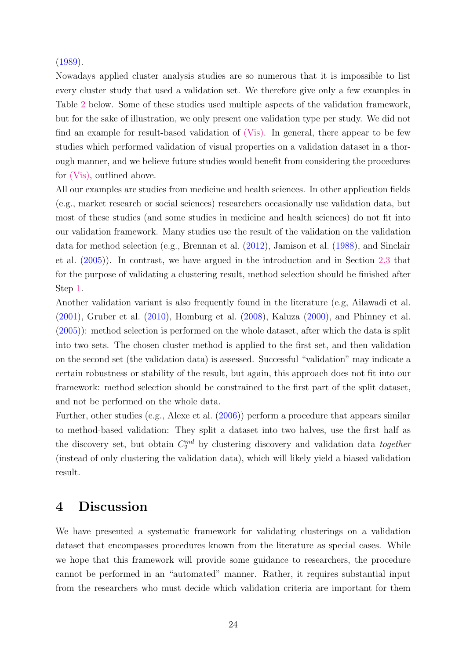$(1989).$  $(1989).$ 

Nowadays applied cluster analysis studies are so numerous that it is impossible to list every cluster study that used a validation set. We therefore give only a few examples in Table [2](#page-24-0) below. Some of these studies used multiple aspects of the validation framework, but for the sake of illustration, we only present one validation type per study. We did not find an example for result-based validation of  $(Vis)$ . In general, there appear to be few studies which performed validation of visual properties on a validation dataset in a thorough manner, and we believe future studies would benefit from considering the procedures for [\(Vis\),](#page-16-1) outlined above.

All our examples are studies from medicine and health sciences. In other application fields (e.g., market research or social sciences) researchers occasionally use validation data, but most of these studies (and some studies in medicine and health sciences) do not fit into our validation framework. Many studies use the result of the validation on the validation data for method selection (e.g., Brennan et al. [\(2012\)](#page-26-10), Jamison et al. [\(1988](#page-29-12)), and Sinclair et al. [\(2005](#page-30-12))). In contrast, we have argued in the introduction and in Section [2.3](#page-7-0) that for the purpose of validating a clustering result, method selection should be finished after Step [1.](#page-3-1)

Another validation variant is also frequently found in the literature (e.g, Ailawadi et al. [\(2001\)](#page-26-11), Gruber et al. [\(2010\)](#page-28-15), Homburg et al. [\(2008\)](#page-28-16), Kaluza [\(2000\)](#page-29-13), and Phinney et al. [\(2005\)](#page-30-13)): method selection is performed on the whole dataset, after which the data is split into two sets. The chosen cluster method is applied to the first set, and then validation on the second set (the validation data) is assessed. Successful "validation" may indicate a certain robustness or stability of the result, but again, this approach does not fit into our framework: method selection should be constrained to the first part of the split dataset, and not be performed on the whole data.

Further, other studies (e.g., Alexe et al. [\(2006\)](#page-26-12)) perform a procedure that appears similar to method-based validation: They split a dataset into two halves, use the first half as the discovery set, but obtain  $C_2^{md}$  by clustering discovery and validation data *together* (instead of only clustering the validation data), which will likely yield a biased validation result.

## <span id="page-23-0"></span>4 Discussion

We have presented a systematic framework for validating clusterings on a validation dataset that encompasses procedures known from the literature as special cases. While we hope that this framework will provide some guidance to researchers, the procedure cannot be performed in an "automated" manner. Rather, it requires substantial input from the researchers who must decide which validation criteria are important for them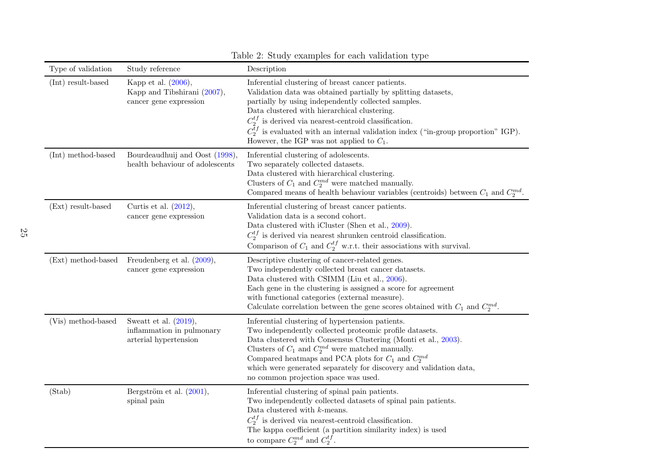| Type of validation | Study reference                                                                | Description                                                                                                                                                                                                                                                                                                                                                                                                                              |
|--------------------|--------------------------------------------------------------------------------|------------------------------------------------------------------------------------------------------------------------------------------------------------------------------------------------------------------------------------------------------------------------------------------------------------------------------------------------------------------------------------------------------------------------------------------|
| (Int) result-based | Kapp et al. (2006),<br>Kapp and Tibshirani (2007),<br>cancer gene expression   | Inferential clustering of breast cancer patients.<br>Validation data was obtained partially by splitting datasets,<br>partially by using independently collected samples.<br>Data clustered with hierarchical clustering.<br>$C_2^{tf}$ is derived via nearest-centroid classification.<br>$C_2^{\tilde{t}f}$ is evaluated with an internal validation index ("in-group proportion" IGP).<br>However, the IGP was not applied to $C_1$ . |
| (Int) method-based | Bourdeaudhuij and Oost (1998),<br>health behaviour of adolescents              | Inferential clustering of adolescents.<br>Two separately collected datasets.<br>Data clustered with hierarchical clustering.<br>Clusters of $C_1$ and $C_2^{md}$ were matched manually.<br>Compared means of health behaviour variables (centroids) between $C_1$ and $C_2^{md}$ .                                                                                                                                                       |
| (Ext) result-based | Curtis et al. $(2012)$ ,<br>cancer gene expression                             | Inferential clustering of breast cancer patients.<br>Validation data is a second cohort.<br>Data clustered with iCluster (Shen et al., 2009).<br>$C_2^{tf}$ is derived via nearest shrunken centroid classification.<br>Comparison of $C_1$ and $C_2^{tf}$ w.r.t. their associations with survival.                                                                                                                                      |
| (Ext) method-based | Freudenberg et al. $(2009)$ ,<br>cancer gene expression                        | Descriptive clustering of cancer-related genes.<br>Two independently collected breast cancer datasets.<br>Data clustered with CSIMM (Liu et al., 2006).<br>Each gene in the clustering is assigned a score for agreement<br>with functional categories (external measure).<br>Calculate correlation between the gene scores obtained with $C_1$ and $C_2^{md}$ .                                                                         |
| (Vis) method-based | Sweatt et al. $(2019)$ ,<br>inflammation in pulmonary<br>arterial hypertension | Inferential clustering of hypertension patients.<br>Two independently collected proteomic profile datasets.<br>Data clustered with Consensus Clustering (Monti et al., 2003).<br>Clusters of $C_1$ and $C_2^{md}$ were matched manually.<br>Compared heatmaps and PCA plots for $C_1$ and $C_2^{md}$<br>which were generated separately for discovery and validation data,<br>no common projection space was used.                       |
| (Stab)             | Bergström et al. $(2001)$ ,<br>spinal pain                                     | Inferential clustering of spinal pain patients.<br>Two independently collected datasets of spinal pain patients.<br>Data clustered with $k$ -means.<br>$C_2^{tf}$ is derived via nearest-centroid classification.<br>The kappa coefficient (a partition similarity index) is used<br>to compare $C_2^{md}$ and $C_2^{tf}$ .                                                                                                              |

<span id="page-24-0"></span>Table 2: Study examples for each validation type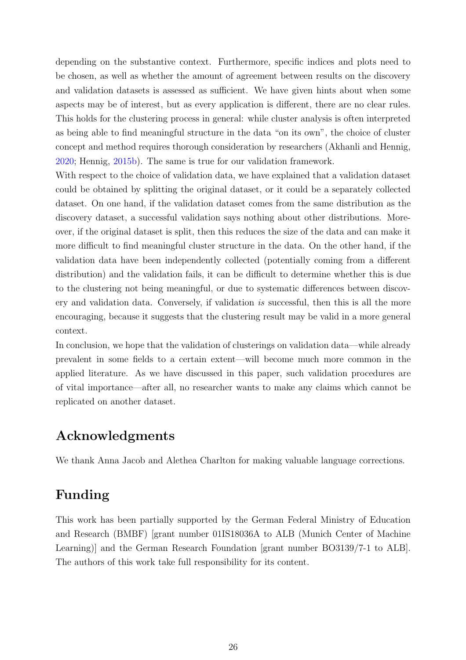depending on the substantive context. Furthermore, specific indices and plots need to be chosen, as well as whether the amount of agreement between results on the discovery and validation datasets is assessed as sufficient. We have given hints about when some aspects may be of interest, but as every application is different, there are no clear rules. This holds for the clustering process in general: while cluster analysis is often interpreted as being able to find meaningful structure in the data "on its own", the choice of cluster concept and method requires thorough consideration by researchers (Akhanli and Hennig, [2020](#page-26-2); Hennig, [2015b\)](#page-28-2). The same is true for our validation framework.

With respect to the choice of validation data, we have explained that a validation dataset could be obtained by splitting the original dataset, or it could be a separately collected dataset. On one hand, if the validation dataset comes from the same distribution as the discovery dataset, a successful validation says nothing about other distributions. Moreover, if the original dataset is split, then this reduces the size of the data and can make it more difficult to find meaningful cluster structure in the data. On the other hand, if the validation data have been independently collected (potentially coming from a different distribution) and the validation fails, it can be difficult to determine whether this is due to the clustering not being meaningful, or due to systematic differences between discovery and validation data. Conversely, if validation *is* successful, then this is all the more encouraging, because it suggests that the clustering result may be valid in a more general context.

In conclusion, we hope that the validation of clusterings on validation data—while already prevalent in some fields to a certain extent—will become much more common in the applied literature. As we have discussed in this paper, such validation procedures are of vital importance—after all, no researcher wants to make any claims which cannot be replicated on another dataset.

## Acknowledgments

We thank Anna Jacob and Alethea Charlton for making valuable language corrections.

## Funding

This work has been partially supported by the German Federal Ministry of Education and Research (BMBF) [grant number 01IS18036A to ALB (Munich Center of Machine Learning)] and the German Research Foundation [grant number BO3139/7-1 to ALB]. The authors of this work take full responsibility for its content.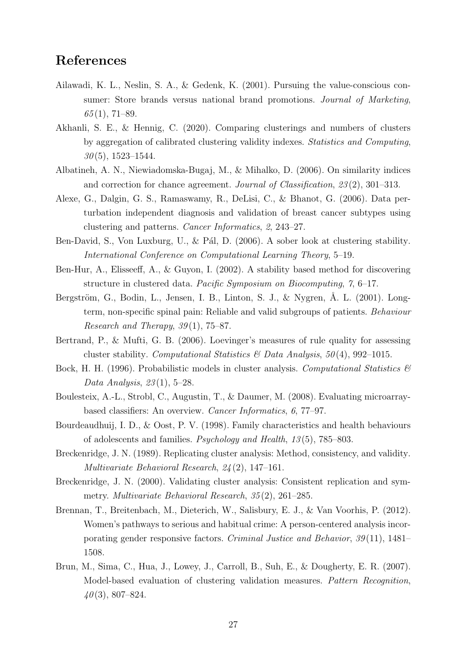## <span id="page-26-13"></span><span id="page-26-11"></span>References

- <span id="page-26-14"></span>Ailawadi, K. L., Neslin, S. A., & Gedenk, K. (2001). Pursuing the value-conscious consumer: Store brands versus national brand promotions. *Journal of Marketing*, *65* (1), 71–89.
- <span id="page-26-2"></span>Akhanli, S. E., & Hennig, C. (2020). Comparing clusterings and numbers of clusters by aggregation of calibrated clustering validity indexes. *Statistics and Computing*, *30* (5), 1523–1544.
- <span id="page-26-12"></span><span id="page-26-3"></span>Albatineh, A. N., Niewiadomska-Bugaj, M., & Mihalko, D. (2006). On similarity indices and correction for chance agreement. *Journal of Classification*, *23* (2), 301–313.
- Alexe, G., Dalgin, G. S., Ramaswamy, R., DeLisi, C., & Bhanot, G. (2006). Data perturbation independent diagnosis and validation of breast cancer subtypes using clustering and patterns. *Cancer Informatics*, *2*, 243–27.
- <span id="page-26-5"></span><span id="page-26-4"></span>Ben-David, S., Von Luxburg, U., & Pál, D. (2006). A sober look at clustering stability. *International Conference on Computational Learning Theory*, 5–19.
- Ben-Hur, A., Elisseeff, A., & Guyon, I. (2002). A stability based method for discovering structure in clustered data. *Pacific Symposium on Biocomputing*, *7*, 6–17.
- Bergström, G., Bodin, L., Jensen, I. B., Linton, S. J., & Nygren, Å. L. (2001). Longterm, non-specific spinal pain: Reliable and valid subgroups of patients. *Behaviour Research and Therapy*, *39* (1), 75–87.
- <span id="page-26-8"></span><span id="page-26-6"></span>Bertrand, P., & Mufti, G. B. (2006). Loevinger's measures of rule quality for assessing cluster stability. *Computational Statistics & Data Analysis*, *50* (4), 992–1015.
- <span id="page-26-1"></span>Bock, H. H. (1996). Probabilistic models in cluster analysis. *Computational Statistics & Data Analysis*, *23* (1), 5–28.
- Boulesteix, A.-L., Strobl, C., Augustin, T., & Daumer, M. (2008). Evaluating microarraybased classifiers: An overview. *Cancer Informatics*, *6*, 77–97.
- <span id="page-26-0"></span>Bourdeaudhuij, I. D., & Oost, P. V. (1998). Family characteristics and health behaviours of adolescents and families. *Psychology and Health*, *13* (5), 785–803.
- <span id="page-26-9"></span>Breckenridge, J. N. (1989). Replicating cluster analysis: Method, consistency, and validity. *Multivariate Behavioral Research*, *24* (2), 147–161.
- <span id="page-26-10"></span>Breckenridge, J. N. (2000). Validating cluster analysis: Consistent replication and symmetry. *Multivariate Behavioral Research*, *35* (2), 261–285.
- Brennan, T., Breitenbach, M., Dieterich, W., Salisbury, E. J., & Van Voorhis, P. (2012). Women's pathways to serious and habitual crime: A person-centered analysis incorporating gender responsive factors. *Criminal Justice and Behavior*, *39* (11), 1481– 1508.
- <span id="page-26-7"></span>Brun, M., Sima, C., Hua, J., Lowey, J., Carroll, B., Suh, E., & Dougherty, E. R. (2007). Model-based evaluation of clustering validation measures. *Pattern Recognition*, *40* (3), 807–824.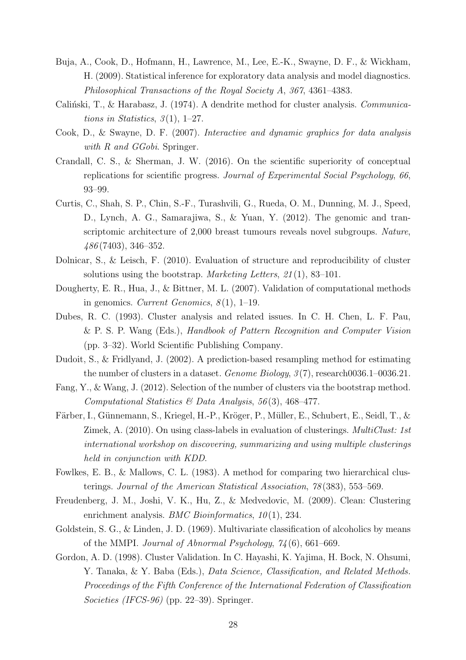- <span id="page-27-14"></span><span id="page-27-13"></span><span id="page-27-10"></span>Buja, A., Cook, D., Hofmann, H., Lawrence, M., Lee, E.-K., Swayne, D. F., & Wickham, H. (2009). Statistical inference for exploratory data analysis and model diagnostics. *Philosophical Transactions of the Royal Society A*, *367*, 4361–4383.
- <span id="page-27-9"></span><span id="page-27-2"></span>Caliński, T., & Harabasz, J. (1974). A dendrite method for cluster analysis. *Communications in Statistics*, *3* (1), 1–27.
- <span id="page-27-11"></span>Cook, D., & Swayne, D. F. (2007). *Interactive and dynamic graphics for data analysis with R and GGobi*. Springer.
- Crandall, C. S., & Sherman, J. W. (2016). On the scientific superiority of conceptual replications for scientific progress. *Journal of Experimental Social Psychology*, *66*, 93–99.
- Curtis, C., Shah, S. P., Chin, S.-F., Turashvili, G., Rueda, O. M., Dunning, M. J., Speed, D., Lynch, A. G., Samarajiwa, S., & Yuan, Y. (2012). The genomic and transcriptomic architecture of 2,000 breast tumours reveals novel subgroups. *Nature*, *486* (7403), 346–352.
- <span id="page-27-4"></span><span id="page-27-0"></span>Dolnicar, S., & Leisch, F. (2010). Evaluation of structure and reproducibility of cluster solutions using the bootstrap. *Marketing Letters*, *21* (1), 83–101.
- <span id="page-27-7"></span>Dougherty, E. R., Hua, J., & Bittner, M. L. (2007). Validation of computational methods in genomics. *Current Genomics*, *8* (1), 1–19.
- Dubes, R. C. (1993). Cluster analysis and related issues. In C. H. Chen, L. F. Pau, & P. S. P. Wang (Eds.), *Handbook of Pattern Recognition and Computer Vision* (pp. 3–32). World Scientific Publishing Company.
- <span id="page-27-6"></span><span id="page-27-5"></span>Dudoit, S., & Fridlyand, J. (2002). A prediction-based resampling method for estimating the number of clusters in a dataset. *Genome Biology*, *3* (7), research0036.1–0036.21.
- <span id="page-27-1"></span>Fang, Y., & Wang, J. (2012). Selection of the number of clusters via the bootstrap method. *Computational Statistics & Data Analysis*, *56* (3), 468–477.
- Färber, I., Günnemann, S., Kriegel, H.-P., Kröger, P., Müller, E., Schubert, E., Seidl, T., & Zimek, A. (2010). On using class-labels in evaluation of clusterings. *MultiClust: 1st international workshop on discovering, summarizing and using multiple clusterings held in conjunction with KDD*.
- <span id="page-27-3"></span>Fowlkes, E. B., & Mallows, C. L. (1983). A method for comparing two hierarchical clusterings. *Journal of the American Statistical Association*, *78* (383), 553–569.
- <span id="page-27-12"></span>Freudenberg, J. M., Joshi, V. K., Hu, Z., & Medvedovic, M. (2009). Clean: Clustering enrichment analysis. *BMC Bioinformatics*, *10* (1), 234.
- <span id="page-27-8"></span>Goldstein, S. G., & Linden, J. D. (1969). Multivariate classification of alcoholics by means of the MMPI. *Journal of Abnormal Psychology*, *74* (6), 661–669.
- Gordon, A. D. (1998). Cluster Validation. In C. Hayashi, K. Yajima, H. Bock, N. Ohsumi, Y. Tanaka, & Y. Baba (Eds.), *Data Science, Classification, and Related Methods. Proceedings of the Fifth Conference of the International Federation of Classification Societies (IFCS-96)* (pp. 22–39). Springer.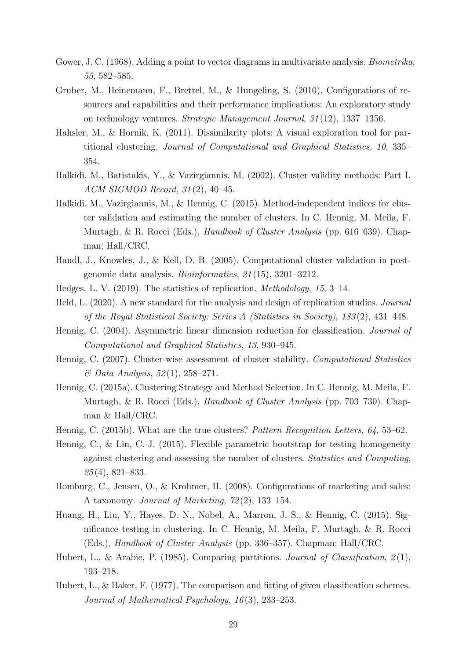- <span id="page-28-15"></span><span id="page-28-12"></span>Gower, J. C. (1968). Adding a point to vector diagrams in multivariate analysis. *Biometrika*, *55*, 582–585.
- Gruber, M., Heinemann, F., Brettel, M., & Hungeling, S. (2010). Configurations of resources and capabilities and their performance implications: An exploratory study on technology ventures. *Strategic Management Journal*, *31* (12), 1337–1356.
- <span id="page-28-10"></span>Hahsler, M., & Hornik, K. (2011). Dissimilarity plots: A visual exploration tool for partitional clustering. *Journal of Computational and Graphical Statistics*, *10*, 335– 354.
- <span id="page-28-7"></span><span id="page-28-3"></span>Halkidi, M., Batistakis, Y., & Vazirgiannis, M. (2002). Cluster validity methods: Part I. *ACM SIGMOD Record*, *31* (2), 40–45.
- Halkidi, M., Vazirgiannis, M., & Hennig, C. (2015). Method-independent indices for cluster validation and estimating the number of clusters. In C. Hennig, M. Meila, F. Murtagh, & R. Rocci (Eds.), *Handbook of Cluster Analysis* (pp. 616–639). Chapman; Hall/CRC.
- <span id="page-28-13"></span><span id="page-28-0"></span>Handl, J., Knowles, J., & Kell, D. B. (2005). Computational cluster validation in postgenomic data analysis. *Bioinformatics*, *21* (15), 3201–3212.
- <span id="page-28-14"></span>Hedges, L. V. (2019). The statistics of replication. *Methodology*, *15*, 3–14.
- <span id="page-28-11"></span>Held, L. (2020). A new standard for the analysis and design of replication studies. *Journal of the Royal Statistical Society: Series A (Statistics in Society)*, *183* (2), 431–448.
- <span id="page-28-5"></span>Hennig, C. (2004). Asymmetric linear dimension reduction for classification. *Journal of Computational and Graphical Statistics*, *13*, 930–945.
- <span id="page-28-1"></span>Hennig, C. (2007). Cluster-wise assessment of cluster stability. *Computational Statistics & Data Analysis*, *52* (1), 258–271.
- Hennig, C. (2015a). Clustering Strategy and Method Selection. In C. Hennig, M. Meila, F. Murtagh, & R. Rocci (Eds.), *Handbook of Cluster Analysis* (pp. 703–730). Chapman & Hall/CRC.
- <span id="page-28-8"></span><span id="page-28-2"></span>Hennig, C. (2015b). What are the true clusters? *Pattern Recognition Letters*, *64*, 53–62.
- Hennig, C., & Lin, C.-J. (2015). Flexible parametric bootstrap for testing homogeneity against clustering and assessing the number of clusters. *Statistics and Computing*, *25* (4), 821–833.
- <span id="page-28-16"></span><span id="page-28-6"></span>Homburg, C., Jensen, O., & Krohmer, H. (2008). Configurations of marketing and sales: A taxonomy. *Journal of Marketing*, *72* (2), 133–154.
- Huang, H., Liu, Y., Hayes, D. N., Nobel, A., Marron, J. S., & Hennig, C. (2015). Significance testing in clustering. In C. Hennig, M. Meila, F. Murtagh, & R. Rocci (Eds.), *Handbook of Cluster Analysis* (pp. 336–357). Chapman; Hall/CRC.
- <span id="page-28-9"></span><span id="page-28-4"></span>Hubert, L., & Arabie, P. (1985). Comparing partitions. *Journal of Classification*, *2* (1), 193–218.
- Hubert, L., & Baker, F. (1977). The comparison and fitting of given classification schemes. *Journal of Mathematical Psychology*, *16* (3), 233–253.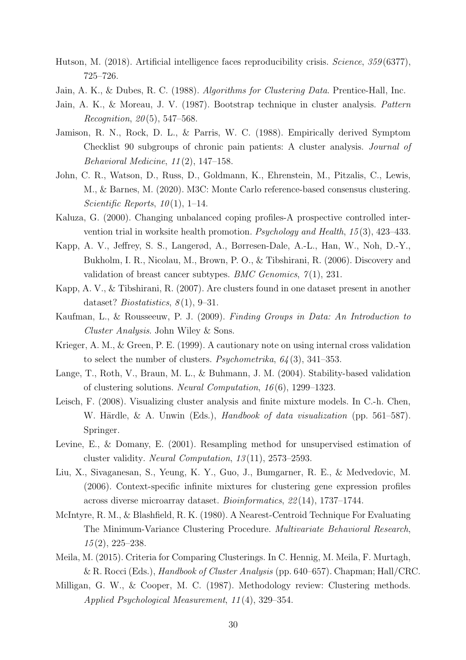- <span id="page-29-16"></span><span id="page-29-15"></span><span id="page-29-14"></span><span id="page-29-5"></span><span id="page-29-1"></span>Hutson, M. (2018). Artificial intelligence faces reproducibility crisis. *Science*, *359* (6377), 725–726.
- <span id="page-29-9"></span>Jain, A. K., & Dubes, R. C. (1988). *Algorithms for Clustering Data*. Prentice-Hall, Inc.
- <span id="page-29-12"></span>Jain, A. K., & Moreau, J. V. (1987). Bootstrap technique in cluster analysis. *Pattern Recognition*, *20* (5), 547–568.
- Jamison, R. N., Rock, D. L., & Parris, W. C. (1988). Empirically derived Symptom Checklist 90 subgroups of chronic pain patients: A cluster analysis. *Journal of Behavioral Medicine*, *11* (2), 147–158.
- <span id="page-29-10"></span>John, C. R., Watson, D., Russ, D., Goldmann, K., Ehrenstein, M., Pitzalis, C., Lewis, M., & Barnes, M. (2020). M3C: Monte Carlo reference-based consensus clustering. *Scientific Reports*, *10* (1), 1–14.
- <span id="page-29-13"></span>Kaluza, G. (2000). Changing unbalanced coping profiles-A prospective controlled intervention trial in worksite health promotion. *Psychology and Health*, *15* (3), 423–433.
- Kapp, A. V., Jeffrey, S. S., Langerød, A., Børresen-Dale, A.-L., Han, W., Noh, D.-Y., Bukholm, I. R., Nicolau, M., Brown, P. O., & Tibshirani, R. (2006). Discovery and validation of breast cancer subtypes. *BMC Genomics*, *7* (1), 231.
- <span id="page-29-3"></span>Kapp, A. V., & Tibshirani, R. (2007). Are clusters found in one dataset present in another dataset? *Biostatistics*, *8* (1), 9–31.
- <span id="page-29-8"></span>Kaufman, L., & Rousseeuw, P. J. (2009). *Finding Groups in Data: An Introduction to Cluster Analysis*. John Wiley & Sons.
- <span id="page-29-6"></span>Krieger, A. M., & Green, P. E. (1999). A cautionary note on using internal cross validation to select the number of clusters. *Psychometrika*, *64* (3), 341–353.
- <span id="page-29-11"></span>Lange, T., Roth, V., Braun, M. L., & Buhmann, J. M. (2004). Stability-based validation of clustering solutions. *Neural Computation*, *16* (6), 1299–1323.
- Leisch, F. (2008). Visualizing cluster analysis and finite mixture models. In C.-h. Chen, W. Härdle, & A. Unwin (Eds.), *Handbook of data visualization* (pp. 561–587). Springer.
- <span id="page-29-7"></span>Levine, E., & Domany, E. (2001). Resampling method for unsupervised estimation of cluster validity. *Neural Computation*, *13* (11), 2573–2593.
- Liu, X., Sivaganesan, S., Yeung, K. Y., Guo, J., Bumgarner, R. E., & Medvedovic, M. (2006). Context-specific infinite mixtures for clustering gene expression profiles across diverse microarray dataset. *Bioinformatics*, *22* (14), 1737–1744.
- <span id="page-29-0"></span>McIntyre, R. M., & Blashfield, R. K. (1980). A Nearest-Centroid Technique For Evaluating The Minimum-Variance Clustering Procedure. *Multivariate Behavioral Research*, *15* (2), 225–238.
- <span id="page-29-4"></span><span id="page-29-2"></span>Meila, M. (2015). Criteria for Comparing Clusterings. In C. Hennig, M. Meila, F. Murtagh, & R. Rocci (Eds.), *Handbook of Cluster Analysis* (pp. 640–657). Chapman; Hall/CRC.
- Milligan, G. W., & Cooper, M. C. (1987). Methodology review: Clustering methods. *Applied Psychological Measurement*, *11* (4), 329–354.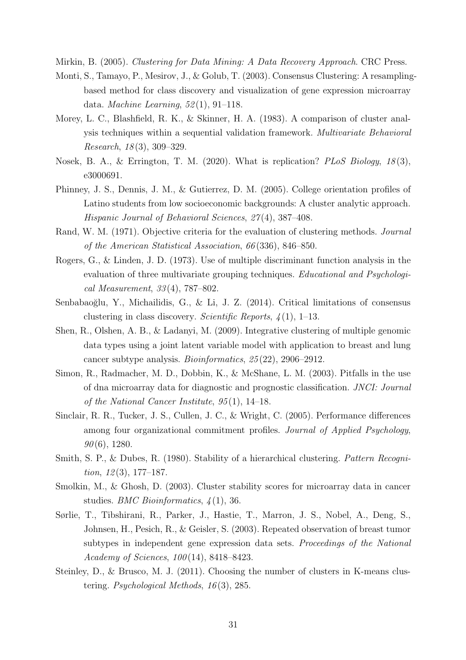<span id="page-30-15"></span><span id="page-30-14"></span><span id="page-30-9"></span><span id="page-30-4"></span>Mirkin, B. (2005). *Clustering for Data Mining: A Data Recovery Approach*. CRC Press.

- Monti, S., Tamayo, P., Mesirov, J., & Golub, T. (2003). Consensus Clustering: A resamplingbased method for class discovery and visualization of gene expression microarray data. *Machine Learning*, *52* (1), 91–118.
- <span id="page-30-3"></span>Morey, L. C., Blashfield, R. K., & Skinner, H. A. (1983). A comparison of cluster analysis techniques within a sequential validation framework. *Multivariate Behavioral Research*, *18* (3), 309–329.
- <span id="page-30-13"></span><span id="page-30-10"></span>Nosek, B. A., & Errington, T. M. (2020). What is replication? *PLoS Biology*, *18* (3), e3000691.
- Phinney, J. S., Dennis, J. M., & Gutierrez, D. M. (2005). College orientation profiles of Latino students from low socioeconomic backgrounds: A cluster analytic approach. *Hispanic Journal of Behavioral Sciences*, *27* (4), 387–408.
- <span id="page-30-11"></span><span id="page-30-2"></span>Rand, W. M. (1971). Objective criteria for the evaluation of clustering methods. *Journal of the American Statistical Association*, *66* (336), 846–850.
- Rogers, G., & Linden, J. D. (1973). Use of multiple discriminant function analysis in the evaluation of three multivariate grouping techniques. *Educational and Psychological Measurement*, *33* (4), 787–802.
- <span id="page-30-5"></span>Senbabaoğlu, Y., Michailidis, G., & Li, J. Z. (2014). Critical limitations of consensus clustering in class discovery. *Scientific Reports*, *4* (1), 1–13.
- Shen, R., Olshen, A. B., & Ladanyi, M. (2009). Integrative clustering of multiple genomic data types using a joint latent variable model with application to breast and lung cancer subtype analysis. *Bioinformatics*, *25* (22), 2906–2912.
- <span id="page-30-0"></span>Simon, R., Radmacher, M. D., Dobbin, K., & McShane, L. M. (2003). Pitfalls in the use of dna microarray data for diagnostic and prognostic classification. *JNCI: Journal of the National Cancer Institute*, *95* (1), 14–18.
- <span id="page-30-12"></span>Sinclair, R. R., Tucker, J. S., Cullen, J. C., & Wright, C. (2005). Performance differences among four organizational commitment profiles. *Journal of Applied Psychology*, *90* (6), 1280.
- <span id="page-30-8"></span><span id="page-30-7"></span>Smith, S. P., & Dubes, R. (1980). Stability of a hierarchical clustering. *Pattern Recognition*, *12* (3), 177–187.
- <span id="page-30-1"></span>Smolkin, M., & Ghosh, D. (2003). Cluster stability scores for microarray data in cancer studies. *BMC Bioinformatics*, *4* (1), 36.
- Sørlie, T., Tibshirani, R., Parker, J., Hastie, T., Marron, J. S., Nobel, A., Deng, S., Johnsen, H., Pesich, R., & Geisler, S. (2003). Repeated observation of breast tumor subtypes in independent gene expression data sets. *Proceedings of the National Academy of Sciences*, *100* (14), 8418–8423.
- <span id="page-30-6"></span>Steinley, D., & Brusco, M. J. (2011). Choosing the number of clusters in K-means clustering. *Psychological Methods*, *16* (3), 285.